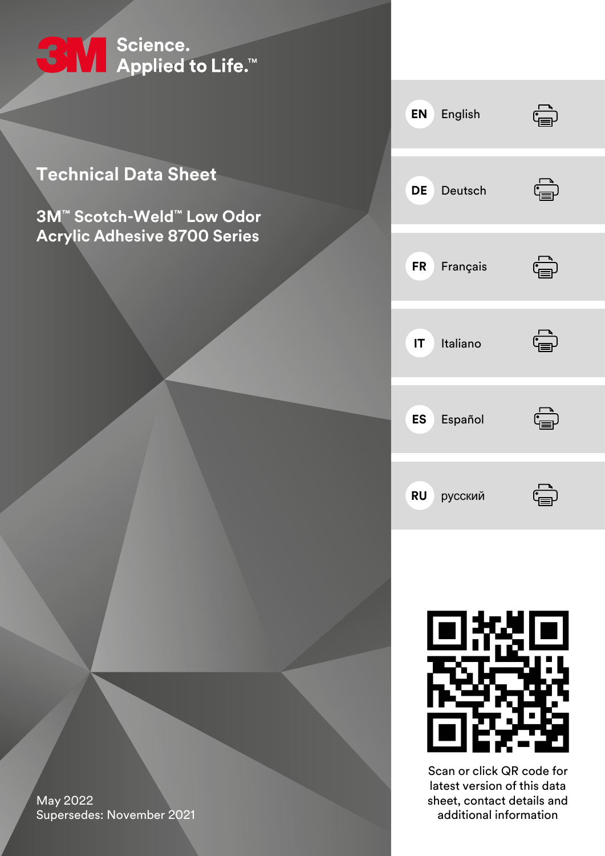

### **Technical Data Sheet**

**3M™ Scotch-Weld™ Low Odor Acrylic Adhesive 8700 Series**

| <b>EN</b> English  | $\stackrel{\cdot}{\mathbb{P}}$                                         |
|--------------------|------------------------------------------------------------------------|
| DE Deutsch         | $\overline{\mathbb{G}}$                                                |
| FR Français        | $\begin{matrix} \begin{matrix} \blacksquare \end{matrix} \end{matrix}$ |
| <b>IT</b> Italiano | Ġ                                                                      |
| <b>ES</b> Español  | $\overleftrightarrow{\mathbb{G}}$                                      |
| <b>RU</b> русский  |                                                                        |



Scan or click QR code for latest version of this data sheet, contact details and additional information

May 2022 Supersedes: November 2021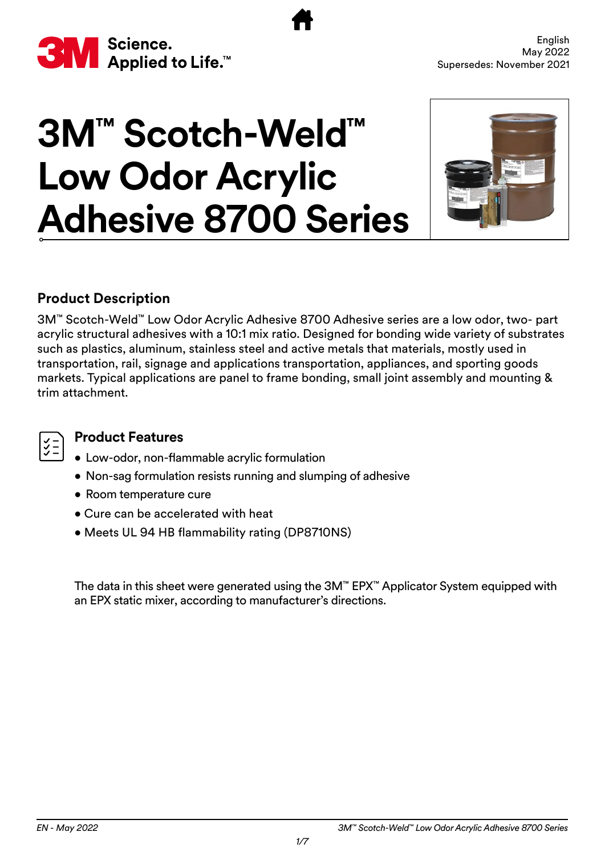<span id="page-1-0"></span>

# **3M™ Scotch-Weld™ Low Odor Acrylic Adhesive 8700 Series**



#### **Product Description**

3M™ Scotch-Weld™ Low Odor Acrylic Adhesive 8700 Adhesive series are a low odor, two- part acrylic structural adhesives with a 10:1 mix ratio. Designed for bonding wide variety of substrates such as plastics, aluminum, stainless steel and active metals that materials, mostly used in transportation, rail, signage and applications transportation, appliances, and sporting goods markets. Typical applications are panel to frame bonding, small joint assembly and mounting & trim attachment.

#### **Product Features**

- Low-odor, non-flammable acrylic formulation
- Non-sag formulation resists running and slumping of adhesive
- Room temperature cure
- Cure can be accelerated with heat
- Meets UL 94 HB flammability rating (DP8710NS)

The data in this sheet were generated using the 3M™ EPX™ Applicator System equipped with an EPX static mixer, according to manufacturer's directions.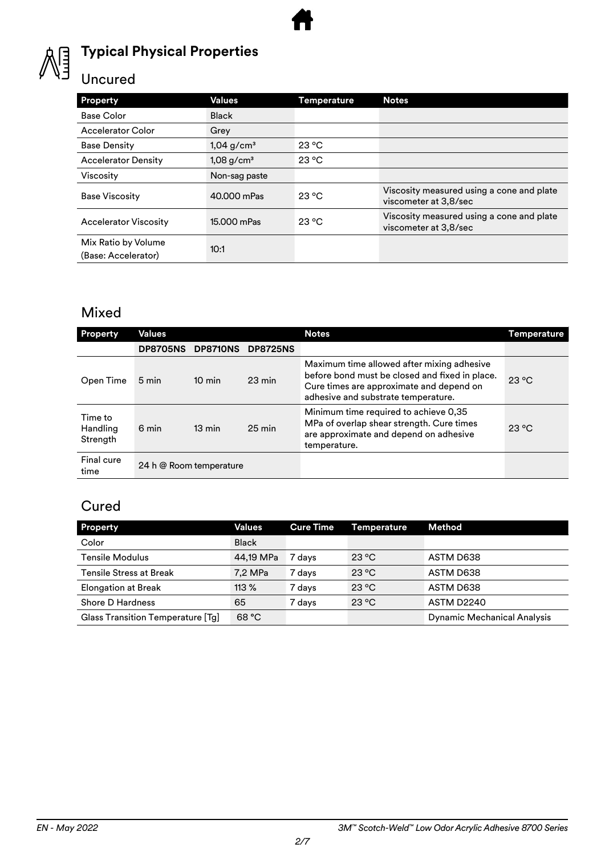

#### **Typical Physical Properties**

#### Uncured

| Property                                   | Values                   | Temperature    | <b>Notes</b>                                                       |
|--------------------------------------------|--------------------------|----------------|--------------------------------------------------------------------|
| <b>Base Color</b>                          | <b>Black</b>             |                |                                                                    |
| <b>Accelerator Color</b>                   | Grey                     |                |                                                                    |
| <b>Base Density</b>                        | $1,04$ g/cm <sup>3</sup> | 23 °C          |                                                                    |
| <b>Accelerator Density</b>                 | $1,08$ g/cm <sup>3</sup> | $23^{\circ}$ C |                                                                    |
| Viscosity                                  | Non-sag paste            |                |                                                                    |
| <b>Base Viscosity</b>                      | 40.000 mPas              | 23 °C          | Viscosity measured using a cone and plate<br>viscometer at 3,8/sec |
| <b>Accelerator Viscosity</b>               | 15.000 mPas              | $23^{\circ}$ C | Viscosity measured using a cone and plate<br>viscometer at 3,8/sec |
| Mix Ratio by Volume<br>(Base: Accelerator) | 10:1                     |                |                                                                    |

#### Mixed

| <b>Property</b>                 | Values          |                         |                  | <b>Notes</b>                                                                                                                                                                    | Temperature    |
|---------------------------------|-----------------|-------------------------|------------------|---------------------------------------------------------------------------------------------------------------------------------------------------------------------------------|----------------|
|                                 | <b>DP8705NS</b> | <b>DP8710NS</b>         | <b>DP8725NS</b>  |                                                                                                                                                                                 |                |
| Open Time                       | 5 min           | $10 \text{ min}$        | $23 \text{ min}$ | Maximum time allowed after mixing adhesive<br>before bond must be closed and fixed in place.<br>Cure times are approximate and depend on<br>adhesive and substrate temperature. | $23^{\circ}$ C |
| Time to<br>Handling<br>Strength | 6 min           | $13 \text{ min}$        | $25 \text{ min}$ | Minimum time required to achieve 0,35<br>MPa of overlap shear strength. Cure times<br>are approximate and depend on adhesive<br>temperature.                                    | $23^{\circ}$ C |
| Final cure<br>time              |                 | 24 h @ Room temperature |                  |                                                                                                                                                                                 |                |

#### **Cured**

| Property                          | Values       | <b>Cure Time</b> | <b>Temperature</b> | <b>Method</b>                      |
|-----------------------------------|--------------|------------------|--------------------|------------------------------------|
| Color                             | <b>Black</b> |                  |                    |                                    |
| <b>Tensile Modulus</b>            | 44.19 MPa    | 7 davs           | 23 °C              | ASTM D638                          |
| <b>Tensile Stress at Break</b>    | 7,2 MPa      | 7 days           | 23 °C              | ASTM D638                          |
| <b>Elongation at Break</b>        | 113%         | 7 days           | 23 °C              | ASTM D638                          |
| <b>Shore D Hardness</b>           | 65           | 7 days           | 23 °C              | ASTM D2240                         |
| Glass Transition Temperature [Tg] | 68 °C        |                  |                    | <b>Dynamic Mechanical Analysis</b> |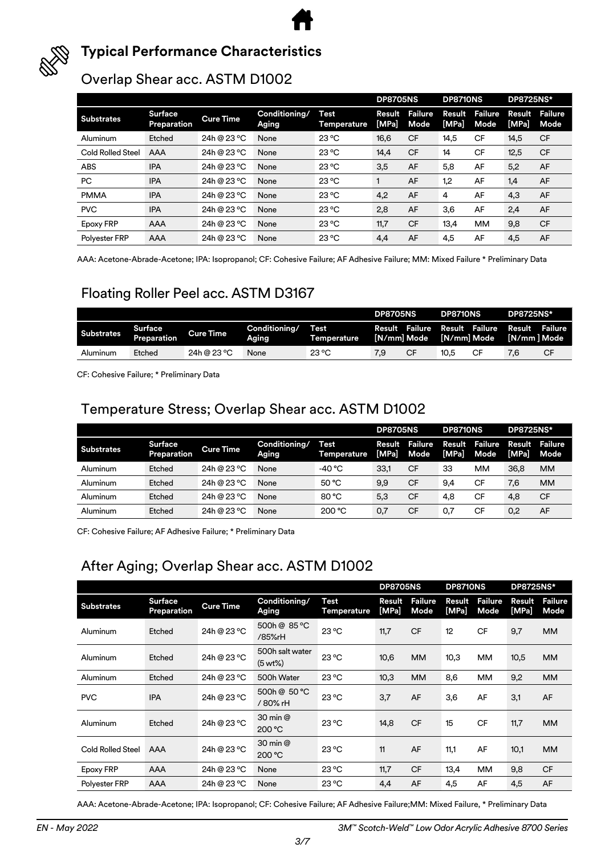

#### **Typical Performance Characteristics**

#### Overlap Shear acc. ASTM D1002

|                          |                               |                  |                        |                     | <b>DP8705NS</b> |                        | <b>DP8710NS</b> |                 | <b>DP8725NS*</b> |                 |
|--------------------------|-------------------------------|------------------|------------------------|---------------------|-----------------|------------------------|-----------------|-----------------|------------------|-----------------|
| <b>Substrates</b>        | <b>Surface</b><br>Preparation | <b>Cure Time</b> | Conditioning/<br>Aging | Test<br>Temperature | Result<br>[MPa] | <b>Failure</b><br>Mode | Result<br>[MPa] | Failure<br>Mode | Result<br>[MPa]  | Failure<br>Mode |
| Aluminum                 | Etched                        | 24h @ 23 °C      | None                   | $23^{\circ}$ C      | 16,6            | <b>CF</b>              | 14,5            | CF              | 14,5             | <b>CF</b>       |
| <b>Cold Rolled Steel</b> | AAA                           | 24h @ 23 °C      | None                   | $23^{\circ}$ C      | 14,4            | <b>CF</b>              | 14              | CF              | 12,5             | <b>CF</b>       |
| ABS                      | <b>IPA</b>                    | 24h @ 23 °C      | None                   | 23 °C               | 3,5             | AF                     | 5,8             | AF              | 5,2              | AF              |
| PC                       | <b>IPA</b>                    | 24h @ 23 °C      | None                   | $23^{\circ}$ C      |                 | AF                     | 1,2             | AF              | 1,4              | AF              |
| <b>PMMA</b>              | <b>IPA</b>                    | 24h @ 23 °C      | None                   | 23 °C               | 4,2             | AF                     | 4               | AF              | 4,3              | AF              |
| <b>PVC</b>               | <b>IPA</b>                    | 24h @ 23 °C      | None                   | $23^{\circ}$ C      | 2,8             | AF                     | 3,6             | AF              | 2,4              | AF              |
| Epoxy FRP                | AAA                           | 24h @ 23 °C      | None                   | $23^{\circ}$ C      | 11,7            | <b>CF</b>              | 13,4            | <b>MM</b>       | 9,8              | <b>CF</b>       |
| <b>Polvester FRP</b>     | AAA                           | 24h @ 23 °C      | None                   | $23^{\circ}$ C      | 4,4             | AF                     | 4,5             | AF              | 4,5              | AF              |

AAA: Acetone-Abrade-Acetone; IPA: Isopropanol; CF: Cohesive Failure; AF Adhesive Failure; MM: Mixed Failure \* Preliminary Data

#### Floating Roller Peel acc. ASTM D3167

|                   |                               |                  |                        |                            | <b>DP8705NS</b> |             | <b>DP8710NS</b> |                               | <b>DP8725NS*</b>       |         |
|-------------------|-------------------------------|------------------|------------------------|----------------------------|-----------------|-------------|-----------------|-------------------------------|------------------------|---------|
| <b>Substrates</b> | <b>Surface</b><br>Preparation | <b>Cure Time</b> | Conditioning/<br>Aging | <b>Test</b><br>Temperature |                 | [N/mm] Mode | [N/mm] Mode     | Result Failure Result Failure | Result<br>[N/mm ] Mode | Failure |
| Aluminum          | Etched                        | 24h @ 23 °C      | None                   | 23 °C                      | 7.9             | CF          | 10.5            | СF                            | 7,6                    | CF      |

CF: Cohesive Failure; \* Preliminary Data

#### Temperature Stress; Overlap Shear acc. ASTM D1002

|                   |                        |                  |                        |                            | <b>DP8705NS</b>        |                 | <b>DP8710NS</b> |                 | <b>DP8725NS*</b> |                        |
|-------------------|------------------------|------------------|------------------------|----------------------------|------------------------|-----------------|-----------------|-----------------|------------------|------------------------|
| <b>Substrates</b> | Surface<br>Preparation | <b>Cure Time</b> | Conditioning/<br>Aging | Test<br><b>Temperature</b> | Result<br><b>IMPal</b> | Failure<br>Mode | Result<br>[MPa] | Failure<br>Mode | [MPa]            | Result Failure<br>Mode |
| Aluminum          | Etched                 | 24h @ 23 °C      | None                   | -40 °C                     | 33,1                   | <b>CF</b>       | 33              | мм              | 36.8             | <b>MM</b>              |
| Aluminum          | Etched                 | 24h @ 23 °C      | None                   | 50 °C                      | 9.9                    | <b>CF</b>       | 9.4             | CF              | 7,6              | <b>MM</b>              |
| Aluminum          | Etched                 | 24h @ 23 °C      | None                   | 80 °C                      | 5,3                    | <b>CF</b>       | 4,8             | <b>CF</b>       | 4,8              | <b>CF</b>              |
| Aluminum          | Etched                 | 24h @ 23 °C      | None                   | 200 °C                     | 0,7                    | <b>CF</b>       | 0.7             | <b>CF</b>       | 0,2              | AF                     |

CF: Cohesive Failure; AF Adhesive Failure; \* Preliminary Data

#### After Aging; Overlap Shear acc. ASTM D1002

|                          |                               |                  |                            |                            | <b>DP8705NS</b> |                        | <b>DP8710NS</b> |                        | <b>DP8725NS*</b> |                 |
|--------------------------|-------------------------------|------------------|----------------------------|----------------------------|-----------------|------------------------|-----------------|------------------------|------------------|-----------------|
| <b>Substrates</b>        | <b>Surface</b><br>Preparation | <b>Cure Time</b> | Conditioning/<br>Aging     | <b>Test</b><br>Temperature | Result<br>[MPa] | <b>Failure</b><br>Mode | Result<br>[MPa] | <b>Failure</b><br>Mode | Result<br>[MPa]  | Failure<br>Mode |
| Aluminum                 | Etched                        | 24h @ 23 °C      | 500h @ 85 °C<br>/85%rH     | 23 °C                      | 11,7            | <b>CF</b>              | 12              | <b>CF</b>              | 9,7              | <b>MM</b>       |
| Aluminum                 | Etched                        | 24h @ 23 °C      | 500h salt water<br>(5 wt%) | 23 °C                      | 10,6            | <b>MM</b>              | 10,3            | <b>MM</b>              | 10,5             | <b>MM</b>       |
| Aluminum                 | Etched                        | 24h @ 23 °C      | 500h Water                 | $23^{\circ}$ C             | 10,3            | <b>MM</b>              | 8,6             | <b>MM</b>              | 9,2              | <b>MM</b>       |
| <b>PVC</b>               | <b>IPA</b>                    | 24h @ 23 °C      | 500h @ 50 °C<br>/ 80% rH   | $23^{\circ}$ C             | 3,7             | AF                     | 3,6             | AF                     | 3,1              | AF              |
| Aluminum                 | Etched                        | 24h @ 23 °C      | 30 min @<br>200 °C         | $23^{\circ}$ C             | 14,8            | <b>CF</b>              | 15              | CF                     | 11,7             | <b>MM</b>       |
| <b>Cold Rolled Steel</b> | <b>AAA</b>                    | 24h @ 23 °C      | 30 min @<br>200 °C         | $23^{\circ}$ C             | 11              | AF                     | 11,1            | AF                     | 10,1             | <b>MM</b>       |
| <b>Epoxy FRP</b>         | AAA                           | 24h @ 23 °C      | None                       | $23^{\circ}$ C             | 11,7            | <b>CF</b>              | 13,4            | MМ                     | 9,8              | <b>CF</b>       |
| Polyester FRP            | AAA                           | 24h @ 23 °C      | None                       | $23^{\circ}$ C             | 4,4             | AF                     | 4,5             | AF                     | 4,5              | AF              |

AAA: Acetone-Abrade-Acetone; IPA: Isopropanol; CF: Cohesive Failure; AF Adhesive Failure;MM: Mixed Failure, \* Preliminary Data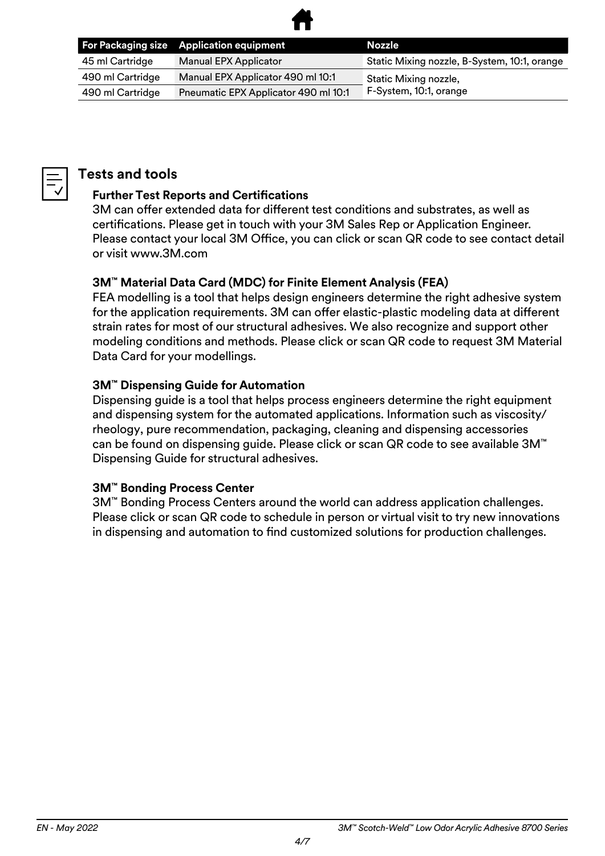

|                  | For Packaging size Application equipment | Nozzle                                       |
|------------------|------------------------------------------|----------------------------------------------|
| 45 ml Cartridge  | <b>Manual EPX Applicator</b>             | Static Mixing nozzle, B-System, 10:1, orange |
| 490 ml Cartridge | Manual EPX Applicator 490 ml 10:1        | Static Mixing nozzle,                        |
| 490 ml Cartridge | Pneumatic EPX Applicator 490 ml 10:1     | F-System, 10:1, orange                       |



#### **Tests and tools**

#### **Further Test Reports and Certifications**

3M can offer extended data for different test conditions and substrates, as well as certifications. Please get in touch with your 3M Sales Rep or Application Engineer. Please contact your local 3M Office, you can click or scan QR code to see contact detail or visit www.3M.com

#### **3M™ Material Data Card (MDC) for Finite Element Analysis (FEA)**

FEA modelling is a tool that helps design engineers determine the right adhesive system for the application requirements. 3M can offer elastic-plastic modeling data at different strain rates for most of our structural adhesives. We also recognize and support other modeling conditions and methods. Please click or scan QR code to request 3M Material Data Card for your modellings.

#### **3M™ Dispensing Guide for Automation**

Dispensing guide is a tool that helps process engineers determine the right equipment and dispensing system for the automated applications. Information such as viscosity/ rheology, pure recommendation, packaging, cleaning and dispensing accessories can be found on dispensing guide. Please click or scan QR code to see available 3M™ Dispensing Guide for structural adhesives.

#### **3M™ Bonding Process Center**

3M™ Bonding Process Centers around the world can address application challenges. Please click or scan QR code to schedule in person or virtual visit to try new innovations in dispensing and automation to find customized solutions for production challenges.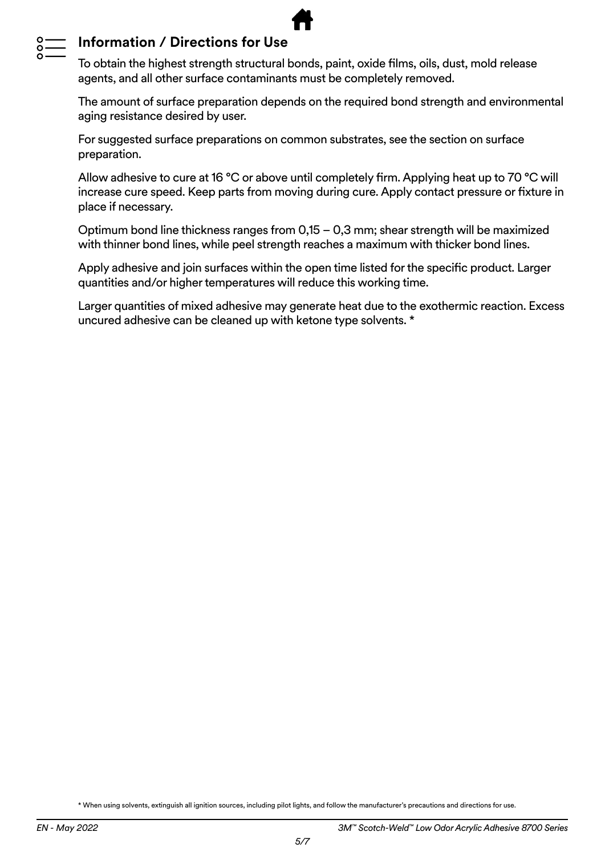

#### **Information / Directions for Use**

To obtain the highest strength structural bonds, paint, oxide films, oils, dust, mold release agents, and all other surface contaminants must be completely removed.

The amount of surface preparation depends on the required bond strength and environmental aging resistance desired by user.

For suggested surface preparations on common substrates, see the section on surface preparation.

Allow adhesive to cure at 16 °C or above until completely firm. Applying heat up to 70 °C will increase cure speed. Keep parts from moving during cure. Apply contact pressure or fixture in place if necessary.

Optimum bond line thickness ranges from 0,15 – 0,3 mm; shear strength will be maximized with thinner bond lines, while peel strength reaches a maximum with thicker bond lines.

Apply adhesive and join surfaces within the open time listed for the specific product. Larger quantities and/or higher temperatures will reduce this working time.

Larger quantities of mixed adhesive may generate heat due to the exothermic reaction. Excess uncured adhesive can be cleaned up with ketone type solvents. \*

\* When using solvents, extinguish all ignition sources, including pilot lights, and follow the manufacturer's precautions and directions for use.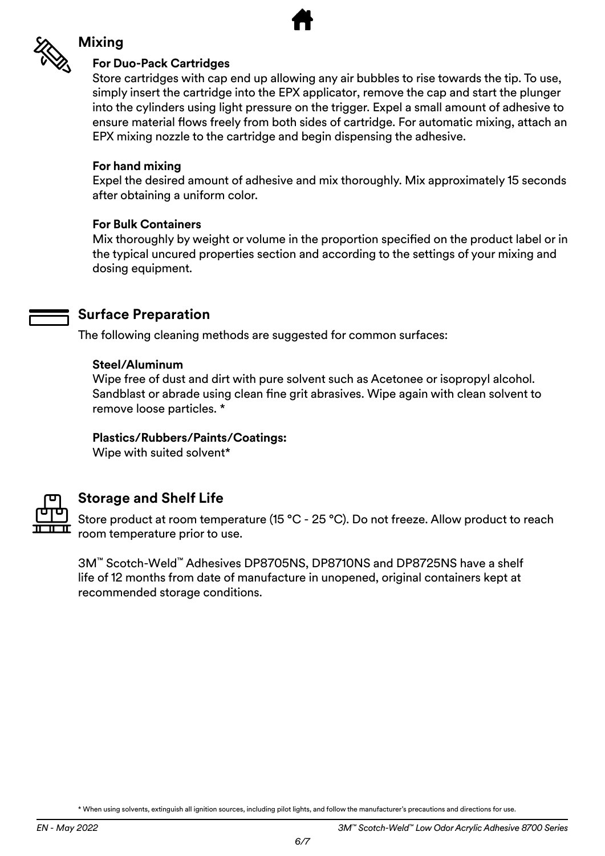

#### **Mixing**

#### **For Duo-Pack Cartridges**

Store cartridges with cap end up allowing any air bubbles to rise towards the tip. To use, simply insert the cartridge into the EPX applicator, remove the cap and start the plunger into the cylinders using light pressure on the trigger. Expel a small amount of adhesive to ensure material flows freely from both sides of cartridge. For automatic mixing, attach an EPX mixing nozzle to the cartridge and begin dispensing the adhesive.

#### **For hand mixing**

Expel the desired amount of adhesive and mix thoroughly. Mix approximately 15 seconds after obtaining a uniform color.

#### **For Bulk Containers**

Mix thoroughly by weight or volume in the proportion specified on the product label or in the typical uncured properties section and according to the settings of your mixing and dosing equipment.

#### **Surface Preparation**

The following cleaning methods are suggested for common surfaces:

#### **Steel/Aluminum**

Wipe free of dust and dirt with pure solvent such as Acetonee or isopropyl alcohol. Sandblast or abrade using clean fine grit abrasives. Wipe again with clean solvent to remove loose particles. \*

#### **Plastics/Rubbers/Paints/Coatings:**

Wipe with suited solvent\*



#### **Storage and Shelf Life**

Store product at room temperature (15 °C - 25 °C). Do not freeze. Allow product to reach room temperature prior to use.

3M™ Scotch-Weld™ Adhesives DP8705NS, DP8710NS and DP8725NS have a shelf life of 12 months from date of manufacture in unopened, original containers kept at recommended storage conditions.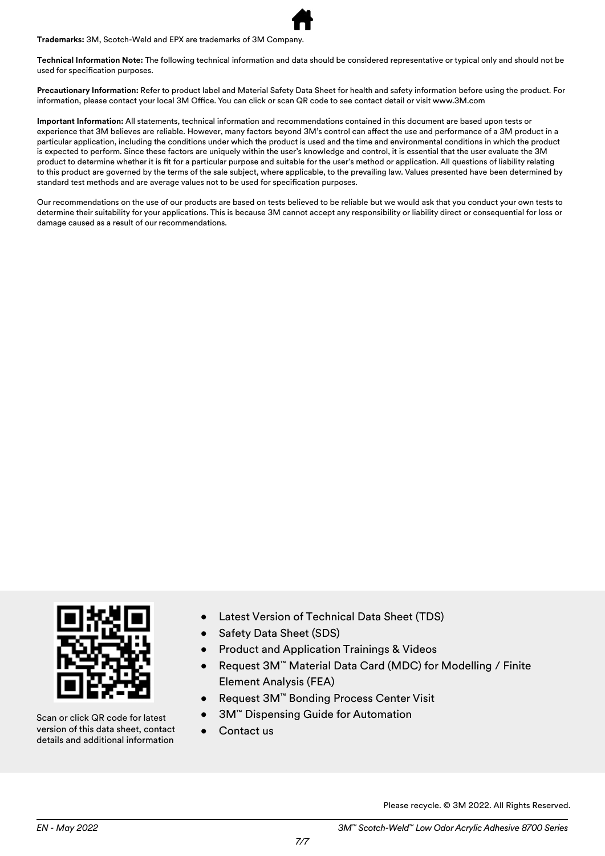**Trademarks:** 3M, Scotch-Weld and EPX are trademarks of 3M Company.

**Technical Information Note:** The following technical information and data should be considered representative or typical only and should not be used for specification purposes.

**Precautionary Information:** Refer to product label and Material Safety Data Sheet for health and safety information before using the product. For information, please contact your local 3M Office. You can click or scan QR code to see contact detail or visit www.3M.com

**Important Information:** All statements, technical information and recommendations contained in this document are based upon tests or experience that 3M believes are reliable. However, many factors beyond 3M's control can affect the use and performance of a 3M product in a particular application, including the conditions under which the product is used and the time and environmental conditions in which the product is expected to perform. Since these factors are uniquely within the user's knowledge and control, it is essential that the user evaluate the 3M product to determine whether it is fit for a particular purpose and suitable for the user's method or application. All questions of liability relating to this product are governed by the terms of the sale subject, where applicable, to the prevailing law. Values presented have been determined by standard test methods and are average values not to be used for specification purposes.

Our recommendations on the use of our products are based on tests believed to be reliable but we would ask that you conduct your own tests to determine their suitability for your applications. This is because 3M cannot accept any responsibility or liability direct or consequential for loss or damage caused as a result of our recommendations.



Scan or click QR code for latest version of this data sheet, contact details and additional information

- Latest Version of Technical Data Sheet (TDS)
- Safety Data Sheet (SDS)
- Product and Application Trainings & Videos
- Request 3M™ Material Data Card (MDC) for Modelling / Finite Element Analysis (FEA)
- Request 3M™ Bonding Process Center Visit
- 3M™ Dispensing Guide for Automation
- Contact us

Please recycle. © 3M 2022. All Rights Reserved.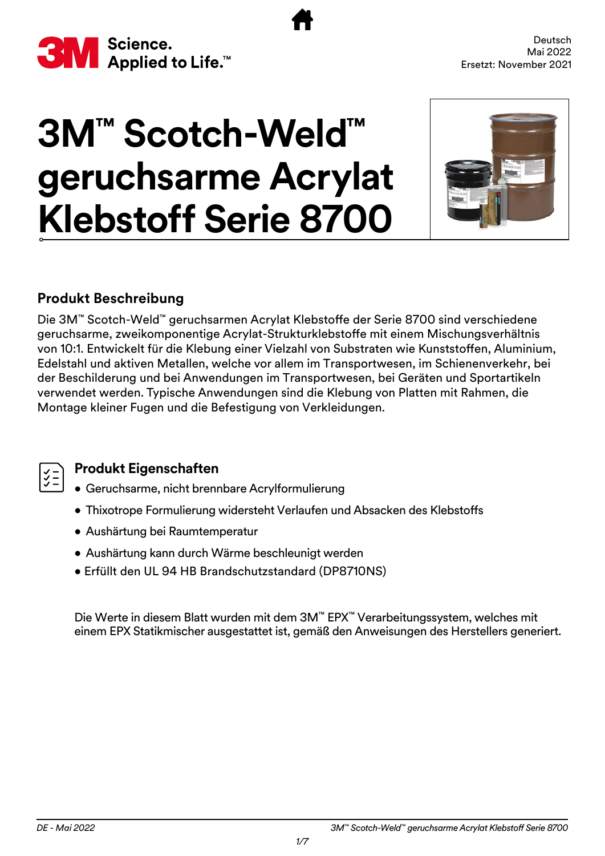<span id="page-8-0"></span>

# **3M™ Scotch-Weld™ geruchsarme Acrylat Klebstoff Serie 8700**



#### **Produkt Beschreibung**

Die 3M™ Scotch-Weld™ geruchsarmen Acrylat Klebstoffe der Serie 8700 sind verschiedene geruchsarme, zweikomponentige Acrylat-Strukturklebstoffe mit einem Mischungsverhältnis von 10:1. Entwickelt für die Klebung einer Vielzahl von Substraten wie Kunststoffen, Aluminium, Edelstahl und aktiven Metallen, welche vor allem im Transportwesen, im Schienenverkehr, bei der Beschilderung und bei Anwendungen im Transportwesen, bei Geräten und Sportartikeln verwendet werden. Typische Anwendungen sind die Klebung von Platten mit Rahmen, die Montage kleiner Fugen und die Befestigung von Verkleidungen.



#### **Produkt Eigenschaften**

- Geruchsarme, nicht brennbare Acrylformulierung
- Thixotrope Formulierung widersteht Verlaufen und Absacken des Klebstoffs
- Aushärtung bei Raumtemperatur
- Aushärtung kann durch Wärme beschleunigt werden
- Erfüllt den UL 94 HB Brandschutzstandard (DP8710NS)

Die Werte in diesem Blatt wurden mit dem 3M™ EPX™ Verarbeitungssystem, welches mit einem EPX Statikmischer ausgestattet ist, gemäß den Anweisungen des Herstellers generiert.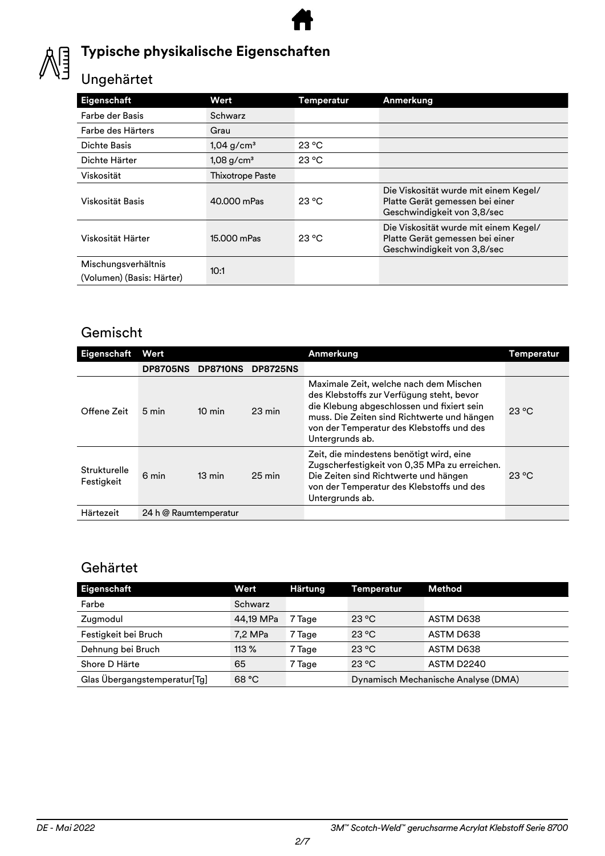

## **Typische physikalische Eigenschaften**

# Ungehärtet

| Eigenschaft                                      | Wert                     | <b>Temperatur</b> | Anmerkung                                                                                               |
|--------------------------------------------------|--------------------------|-------------------|---------------------------------------------------------------------------------------------------------|
| Farbe der Basis                                  | Schwarz                  |                   |                                                                                                         |
| Farbe des Härters                                | Grau                     |                   |                                                                                                         |
| Dichte Basis                                     | $1,04$ g/cm <sup>3</sup> | 23 °C             |                                                                                                         |
| Dichte Härter                                    | $1,08$ g/cm <sup>3</sup> | $23^{\circ}$ C    |                                                                                                         |
| Viskosität                                       | <b>Thixotrope Paste</b>  |                   |                                                                                                         |
| Viskosität Basis                                 | 40.000 mPas              | $23^{\circ}$ C    | Die Viskosität wurde mit einem Kegel/<br>Platte Gerät gemessen bei einer<br>Geschwindigkeit von 3,8/sec |
| Viskosität Härter                                | 15.000 mPas              | 23 °C             | Die Viskosität wurde mit einem Kegel/<br>Platte Gerät gemessen bei einer<br>Geschwindigkeit von 3,8/sec |
| Mischungsverhältnis<br>(Volumen) (Basis: Härter) | 10:1                     |                   |                                                                                                         |

#### Gemischt

| Eigenschaft                       | Wert                  |                  |                  | Anmerkung                                                                                                                                                                                                                                        | Temperatur     |  |
|-----------------------------------|-----------------------|------------------|------------------|--------------------------------------------------------------------------------------------------------------------------------------------------------------------------------------------------------------------------------------------------|----------------|--|
|                                   | <b>DP8705NS</b>       | <b>DP8710NS</b>  | <b>DP8725NS</b>  |                                                                                                                                                                                                                                                  |                |  |
| Offene Zeit                       | 5 min                 | $10 \text{ min}$ | $23 \text{ min}$ | Maximale Zeit, welche nach dem Mischen<br>des Klebstoffs zur Verfügung steht, bevor<br>die Klebung abgeschlossen und fixiert sein<br>muss. Die Zeiten sind Richtwerte und hängen<br>von der Temperatur des Klebstoffs und des<br>Untergrunds ab. | $23^{\circ}$ C |  |
| <b>Strukturelle</b><br>Festigkeit | 6 min                 | $13 \text{ min}$ | $25 \text{ min}$ | Zeit, die mindestens benötigt wird, eine<br>Zugscherfestigkeit von 0,35 MPa zu erreichen.<br>Die Zeiten sind Richtwerte und hängen<br>von der Temperatur des Klebstoffs und des<br>Untergrunds ab.                                               | $23^{\circ}$ C |  |
| Härtezeit                         | 24 h @ Raumtemperatur |                  |                  |                                                                                                                                                                                                                                                  |                |  |

#### Gehärtet

| Eigenschaft                  | Wert      | <b>Härtung</b> | Temperatur     | Method                              |
|------------------------------|-----------|----------------|----------------|-------------------------------------|
| Farbe                        | Schwarz   |                |                |                                     |
| Zugmodul                     | 44.19 MPa | 7 Tage         | 23 °C          | ASTM D638                           |
| Festigkeit bei Bruch         | 7,2 MPa   | 7 Tage         | 23 °C          | ASTM D638                           |
| Dehnung bei Bruch            | $113\%$   | 7 Tage         | $23^{\circ}$ C | ASTM D638                           |
| Shore D Härte                | 65        | 7 Tage         | 23 °C          | <b>ASTM D2240</b>                   |
| Glas Übergangstemperatur[Tg] | 68 °C     |                |                | Dynamisch Mechanische Analyse (DMA) |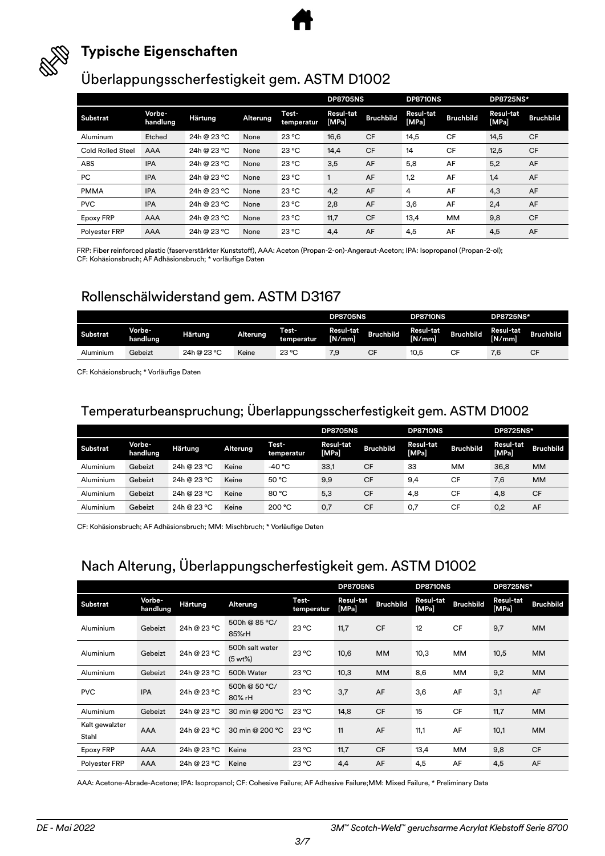



#### **Typische Eigenschaften**

#### Überlappungsscherfestigkeit gem. ASTM D1002

|                          |                    |                |                 |                     | <b>DP8705NS</b>    |                  | <b>DP8710NS</b>    |                  | <b>DP8725NS*</b>          |                  |
|--------------------------|--------------------|----------------|-----------------|---------------------|--------------------|------------------|--------------------|------------------|---------------------------|------------------|
| Substrat                 | Vorbe-<br>handlung | <b>Härtung</b> | <b>Alterung</b> | Test-<br>temperatur | Resul-tat<br>[MPa] | <b>Bruchbild</b> | Resul-tat<br>[MPa] | <b>Bruchbild</b> | <b>Resul-tat</b><br>[MPa] | <b>Bruchbild</b> |
| Aluminum                 | Etched             | 24h @ 23 °C    | None            | $23^{\circ}$ C      | 16,6               | <b>CF</b>        | 14,5               | <b>CF</b>        | 14,5                      | <b>CF</b>        |
| <b>Cold Rolled Steel</b> | <b>AAA</b>         | 24h @ 23 °C    | None            | $23^{\circ}$ C      | 14,4               | <b>CF</b>        | 14                 | CF               | 12,5                      | <b>CF</b>        |
| ABS                      | <b>IPA</b>         | 24h @ 23 °C    | None            | $23^{\circ}$ C      | 3,5                | AF               | 5,8                | AF               | 5,2                       | AF               |
| PC                       | <b>IPA</b>         | 24h @ 23 °C    | None            | $23^{\circ}$ C      |                    | AF               | 1,2                | AF               | 1,4                       | AF               |
| <b>PMMA</b>              | <b>IPA</b>         | 24h @ 23 °C    | None            | $23^{\circ}$ C      | 4,2                | AF               | 4                  | AF               | 4,3                       | AF               |
| <b>PVC</b>               | <b>IPA</b>         | 24h @ 23 °C    | None            | $23^{\circ}$ C      | 2,8                | AF               | 3,6                | AF               | 2,4                       | AF               |
| <b>Epoxy FRP</b>         | <b>AAA</b>         | 24h @ 23 °C    | None            | $23^{\circ}$ C      | 11,7               | <b>CF</b>        | 13,4               | <b>MM</b>        | 9,8                       | <b>CF</b>        |
| Polyester FRP            | AAA                | 24h @ 23 °C    | None            | $23^{\circ}$ C      | 4,4                | AF               | 4,5                | AF               | 4,5                       | AF               |

FRP: Fiber reinforced plastic (faserverstärkter Kunststoff), AAA: Aceton (Propan-2-on)-Angeraut-Aceton; IPA: Isopropanol (Propan-2-ol); CF: Kohäsionsbruch; AF Adhäsionsbruch; \* vorläufige Daten

#### Rollenschälwiderstand gem. ASTM D3167

|                 |                    |             |          |                            | <b>DP8705NS</b>     |                  | <b>DP8710NS</b>     |                  | <b>DP8725NS*</b>    |                  |
|-----------------|--------------------|-------------|----------|----------------------------|---------------------|------------------|---------------------|------------------|---------------------|------------------|
| <b>Substrat</b> | Vorbe-<br>handlung | Härtung     | Alterung | <b>Test-</b><br>temperatur | Resul-tat<br>[N/mm] | <b>Bruchbild</b> | Resul-tat<br>[N/mm] | <b>Bruchbild</b> | Resul-tat<br>[N/mm] | <b>Bruchbild</b> |
| Aluminium       | Gebeizt            | 24h @ 23 °C | Keine    | $23^{\circ}$ C             | 7,9                 | ◡┎               | 10,5                | СF               | 7,6                 | CF               |

CF: Kohäsionsbruch; \* Vorläufige Daten

#### Temperaturbeanspruchung; Überlappungsscherfestigkeit gem. ASTM D1002

|           |                    |             |          |                     | <b>DP8705NS</b>           |                  | <b>DP8710NS</b>    |                  | <b>DP8725NS*</b>          |                  |
|-----------|--------------------|-------------|----------|---------------------|---------------------------|------------------|--------------------|------------------|---------------------------|------------------|
| Substrat  | Vorbe-<br>handlung | Härtung     | Alterung | Test-<br>temperatur | <b>Resul-tat</b><br>[MPa] | <b>Bruchbild</b> | Resul-tat<br>[MPa] | <b>Bruchbild</b> | <b>Resul-tat</b><br>[MPa] | <b>Bruchbild</b> |
| Aluminium | Gebeizt            | 24h @ 23 °C | Keine    | -40 °C              | 33,1                      | CF               | 33                 | MМ               | 36,8                      | <b>MM</b>        |
| Aluminium | Gebeizt            | 24h @ 23 °C | Keine    | 50 °C               | 9,9                       | <b>CF</b>        | 9.4                | CF               | 7,6                       | <b>MM</b>        |
| Aluminium | Gebeizt            | 24h @ 23 °C | Keine    | 80 °C               | 5,3                       | CF               | 4,8                | CF               | 4,8                       | <b>CF</b>        |
| Aluminium | Gebeizt            | 24h @ 23 °C | Keine    | 200 °C              | 0,7                       | <b>CF</b>        | 0,7                | CF               | 0,2                       | AF               |

CF: Kohäsionsbruch; AF Adhäsionsbruch; MM: Mischbruch; \* Vorläufige Daten

#### Nach Alterung, Überlappungscherfestigkeit gem. ASTM D1002

|                         |                    |             |                               |                     | <b>DP8705NS</b><br>DP8710NS |                  |                    | DP8725NS*        |                    |                  |
|-------------------------|--------------------|-------------|-------------------------------|---------------------|-----------------------------|------------------|--------------------|------------------|--------------------|------------------|
| Substrat                | Vorbe-<br>handlung | Härtung     | Alterung                      | Test-<br>temperatur | Resul-tat<br>[MPa]          | <b>Bruchbild</b> | Resul-tat<br>[MPa] | <b>Bruchbild</b> | Resul-tat<br>[MPa] | <b>Bruchbild</b> |
| Aluminium               | Gebeizt            | 24h @ 23 °C | 500h @ 85 °C/<br>85%rH        | 23 °C               | 11,7                        | <b>CF</b>        | 12                 | <b>CF</b>        | 9,7                | <b>MM</b>        |
| Aluminium               | Gebeizt            | 24h @ 23 °C | 500h salt water<br>$(5 wt\%)$ | 23 °C               | 10,6                        | <b>MM</b>        | 10,3               | MM               | 10,5               | <b>MM</b>        |
| Aluminium               | Gebeizt            | 24h @ 23 °C | 500h Water                    | $23^{\circ}$ C      | 10,3                        | <b>MM</b>        | 8,6                | MM               | 9,2                | MM               |
| <b>PVC</b>              | <b>IPA</b>         | 24h @ 23 °C | 500h @ 50 °C/<br>80% rH       | 23 °C               | 3,7                         | AF               | 3,6                | AF               | 3,1                | AF               |
| Aluminium               | Gebeizt            | 24h @ 23 °C | 30 min @ 200 °C               | 23 °C               | 14,8                        | <b>CF</b>        | 15                 | <b>CF</b>        | 11,7               | MM               |
| Kalt gewalzter<br>Stahl | <b>AAA</b>         | 24h @ 23 °C | 30 min @ 200 °C               | $23^{\circ}$ C      | 11                          | AF               | 11,1               | AF               | 10,1               | <b>MM</b>        |
| <b>Epoxy FRP</b>        | <b>AAA</b>         | 24h @ 23 °C | Keine                         | $23^{\circ}$ C      | 11,7                        | <b>CF</b>        | 13,4               | <b>MM</b>        | 9,8                | <b>CF</b>        |
| Polyester FRP           | <b>AAA</b>         | 24h @ 23 °C | Keine                         | $23^{\circ}$ C      | 4,4                         | AF               | 4,5                | AF               | 4,5                | AF               |

AAA: Acetone-Abrade-Acetone; IPA: Isopropanol; CF: Cohesive Failure; AF Adhesive Failure;MM: Mixed Failure, \* Preliminary Data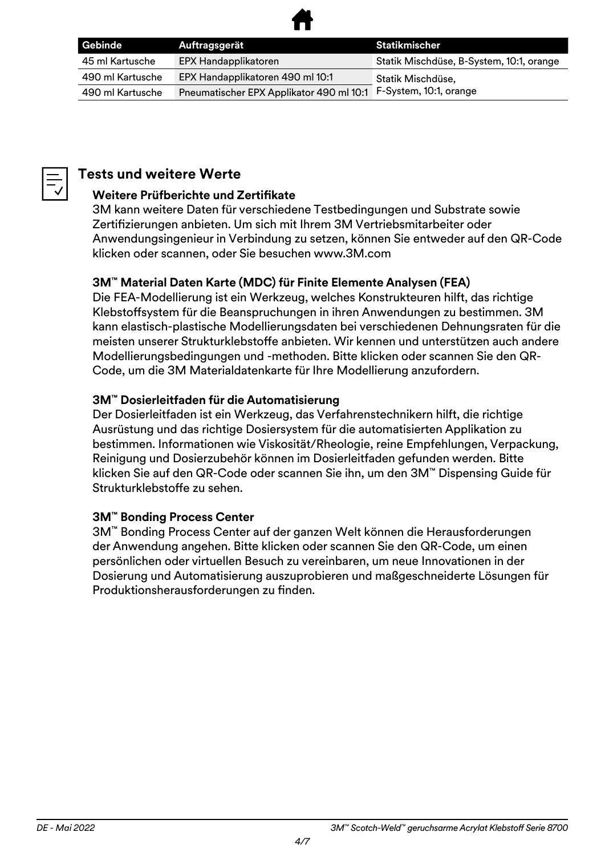

| Gebinde          | Auftragsgerät                            | Statikmischer                            |
|------------------|------------------------------------------|------------------------------------------|
| 45 ml Kartusche  | EPX Handapplikatoren                     | Statik Mischdüse, B-System, 10:1, orange |
| 490 ml Kartusche | EPX Handapplikatoren 490 ml 10:1         | Statik Mischdüse,                        |
| 490 ml Kartusche | Pneumatischer EPX Applikator 490 ml 10:1 | F-System, 10:1, orange                   |

#### **Tests und weitere Werte**

#### **Weitere Prüfberichte und Zertifikate**

3M kann weitere Daten für verschiedene Testbedingungen und Substrate sowie Zertifizierungen anbieten. Um sich mit Ihrem 3M Vertriebsmitarbeiter oder Anwendungsingenieur in Verbindung zu setzen, können Sie entweder auf den QR-Code klicken oder scannen, oder Sie besuchen www.3M.com

#### **3M™ Material Daten Karte (MDC) für Finite Elemente Analysen (FEA)**

Die FEA-Modellierung ist ein Werkzeug, welches Konstrukteuren hilft, das richtige Klebstoffsystem für die Beanspruchungen in ihren Anwendungen zu bestimmen. 3M kann elastisch-plastische Modellierungsdaten bei verschiedenen Dehnungsraten für die meisten unserer Strukturklebstoffe anbieten. Wir kennen und unterstützen auch andere Modellierungsbedingungen und -methoden. Bitte klicken oder scannen Sie den QR-Code, um die 3M Materialdatenkarte für Ihre Modellierung anzufordern.

#### **3M™ Dosierleitfaden für die Automatisierung**

Der Dosierleitfaden ist ein Werkzeug, das Verfahrenstechnikern hilft, die richtige Ausrüstung und das richtige Dosiersystem für die automatisierten Applikation zu bestimmen. Informationen wie Viskosität/Rheologie, reine Empfehlungen, Verpackung, Reinigung und Dosierzubehör können im Dosierleitfaden gefunden werden. Bitte klicken Sie auf den QR-Code oder scannen Sie ihn, um den 3M™ Dispensing Guide für Strukturklebstoffe zu sehen.

#### **3M™ Bonding Process Center**

3M™ Bonding Process Center auf der ganzen Welt können die Herausforderungen der Anwendung angehen. Bitte klicken oder scannen Sie den QR-Code, um einen persönlichen oder virtuellen Besuch zu vereinbaren, um neue Innovationen in der Dosierung und Automatisierung auszuprobieren und maßgeschneiderte Lösungen für Produktionsherausforderungen zu finden.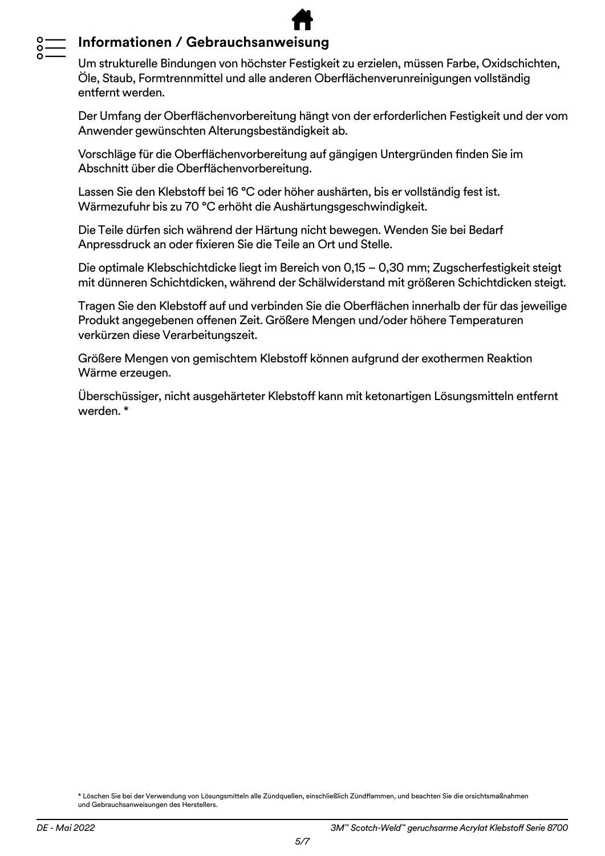#### **Informationen / Gebrauchsanweisung**

Um strukturelle Bindungen von höchster Festigkeit zu erzielen, müssen Farbe, Oxidschichten, Öle, Staub, Formtrennmittel und alle anderen Oberflächenverunreinigungen vollständig entfernt werden.

Der Umfang der Oberflächenvorbereitung hängt von der erforderlichen Festigkeit und der vom Anwender gewünschten Alterungsbeständigkeit ab.

Vorschläge für die Oberflächenvorbereitung auf gängigen Untergründen finden Sie im Abschnitt über die Oberflächenvorbereitung.

Lassen Sie den Klebstoff bei 16 °C oder höher aushärten, bis er vollständig fest ist. Wärmezufuhr bis zu 70 °C erhöht die Aushärtungsgeschwindigkeit.

Die Teile dürfen sich während der Härtung nicht bewegen. Wenden Sie bei Bedarf Anpressdruck an oder fixieren Sie die Teile an Ort und Stelle.

Die optimale Klebschichtdicke liegt im Bereich von 0,15 – 0,30 mm; Zugscherfestigkeit steigt mit dünneren Schichtdicken, während der Schälwiderstand mit größeren Schichtdicken steigt.

Tragen Sie den Klebstoff auf und verbinden Sie die Oberflächen innerhalb der für das jeweilige Produkt angegebenen offenen Zeit. Größere Mengen und/oder höhere Temperaturen verkürzen diese Verarbeitungszeit.

Größere Mengen von gemischtem Klebstoff können aufgrund der exothermen Reaktion Wärme erzeugen.

Überschüssiger, nicht ausgehärteter Klebstoff kann mit ketonartigen Lösungsmitteln entfernt werden. \*

\* Löschen Sie bei der Verwendung von Lösungsmitteln alle Zündquellen, einschließlich Zündflammen, und beachten Sie die orsichtsmaßnahmen und Gebrauchsanweisungen des Herstellers.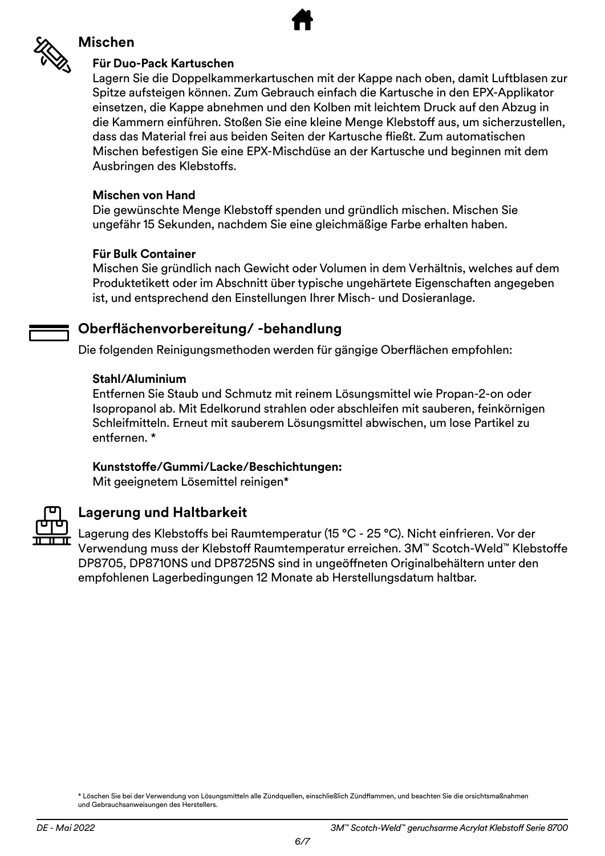

#### **Mischen**

#### **Für Duo-Pack Kartuschen**

Lagern Sie die Doppelkammerkartuschen mit der Kappe nach oben, damit Luftblasen zur Spitze aufsteigen können. Zum Gebrauch einfach die Kartusche in den EPX-Applikator einsetzen, die Kappe abnehmen und den Kolben mit leichtem Druck auf den Abzug in die Kammern einführen. Stoßen Sie eine kleine Menge Klebstoff aus, um sicherzustellen, dass das Material frei aus beiden Seiten der Kartusche fließt. Zum automatischen Mischen befestigen Sie eine EPX-Mischdüse an der Kartusche und beginnen mit dem Ausbringen des Klebstoffs.

#### **Mischen von Hand**

Die gewünschte Menge Klebstoff spenden und gründlich mischen. Mischen Sie ungefähr 15 Sekunden, nachdem Sie eine gleichmäßige Farbe erhalten haben.

#### **Für Bulk Container**

Mischen Sie gründlich nach Gewicht oder Volumen in dem Verhältnis, welches auf dem Produktetikett oder im Abschnitt über typische ungehärtete Eigenschaften angegeben ist, und entsprechend den Einstellungen Ihrer Misch- und Dosieranlage.

#### **Oberflächenvorbereitung/ -behandlung**

Die folgenden Reinigungsmethoden werden für gängige Oberflächen empfohlen:

#### **Stahl/Aluminium**

Entfernen Sie Staub und Schmutz mit reinem Lösungsmittel wie Propan-2-on oder Isopropanol ab. Mit Edelkorund strahlen oder abschleifen mit sauberen, feinkörnigen Schleifmitteln. Erneut mit sauberem Lösungsmittel abwischen, um lose Partikel zu entfernen. \*

#### **Kunststoffe/Gummi/Lacke/Beschichtungen:**

Mit geeignetem Lösemittel reinigen\*



#### **Lagerung und Haltbarkeit**

Lagerung des Klebstoffs bei Raumtemperatur (15 °C - 25 °C). Nicht einfrieren. Vor der Verwendung muss der Klebstoff Raumtemperatur erreichen. 3M™ Scotch-Weld™ Klebstoffe DP8705, DP8710NS und DP8725NS sind in ungeöffneten Originalbehältern unter den empfohlenen Lagerbedingungen 12 Monate ab Herstellungsdatum haltbar.

\* Löschen Sie bei der Verwendung von Lösungsmitteln alle Zündquellen, einschließlich Zündflammen, und beachten Sie die orsichtsmaßnahmen und Gebrauchsanweisungen des Herstellers.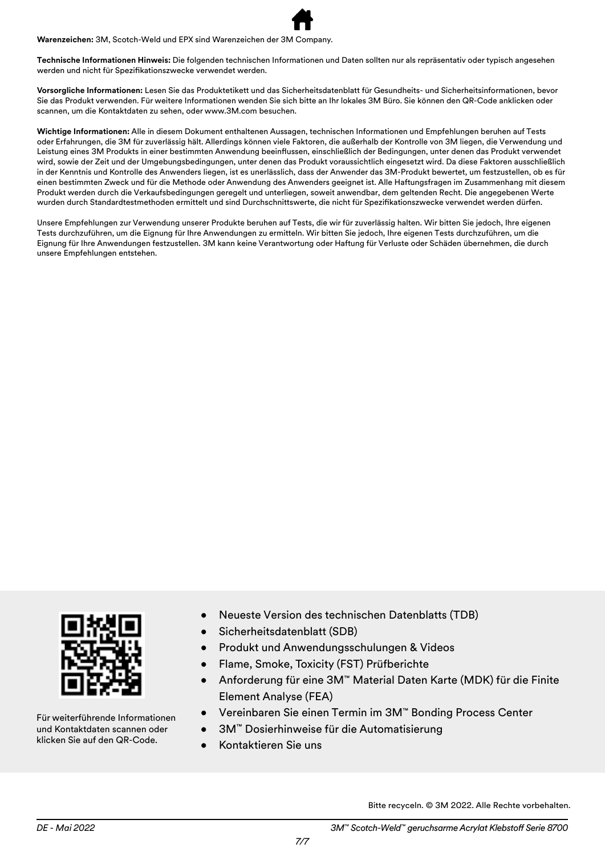**Warenzeichen:** 3M, Scotch-Weld und EPX sind Warenzeichen der 3M Company.

**Technische Informationen Hinweis:** Die folgenden technischen Informationen und Daten sollten nur als repräsentativ oder typisch angesehen werden und nicht für Spezifikationszwecke verwendet werden.

**Vorsorgliche Informationen:** Lesen Sie das Produktetikett und das Sicherheitsdatenblatt für Gesundheits- und Sicherheitsinformationen, bevor Sie das Produkt verwenden. Für weitere Informationen wenden Sie sich bitte an Ihr lokales 3M Büro. Sie können den QR-Code anklicken oder scannen, um die Kontaktdaten zu sehen, oder www.3M.com besuchen.

**Wichtige Informationen:** Alle in diesem Dokument enthaltenen Aussagen, technischen Informationen und Empfehlungen beruhen auf Tests oder Erfahrungen, die 3M für zuverlässig hält. Allerdings können viele Faktoren, die außerhalb der Kontrolle von 3M liegen, die Verwendung und Leistung eines 3M Produkts in einer bestimmten Anwendung beeinflussen, einschließlich der Bedingungen, unter denen das Produkt verwendet wird, sowie der Zeit und der Umgebungsbedingungen, unter denen das Produkt voraussichtlich eingesetzt wird. Da diese Faktoren ausschließlich in der Kenntnis und Kontrolle des Anwenders liegen, ist es unerlässlich, dass der Anwender das 3M-Produkt bewertet, um festzustellen, ob es für einen bestimmten Zweck und für die Methode oder Anwendung des Anwenders geeignet ist. Alle Haftungsfragen im Zusammenhang mit diesem Produkt werden durch die Verkaufsbedingungen geregelt und unterliegen, soweit anwendbar, dem geltenden Recht. Die angegebenen Werte wurden durch Standardtestmethoden ermittelt und sind Durchschnittswerte, die nicht für Spezifikationszwecke verwendet werden dürfen.

Unsere Empfehlungen zur Verwendung unserer Produkte beruhen auf Tests, die wir für zuverlässig halten. Wir bitten Sie jedoch, Ihre eigenen Tests durchzuführen, um die Eignung für Ihre Anwendungen zu ermitteln. Wir bitten Sie jedoch, Ihre eigenen Tests durchzuführen, um die Eignung für Ihre Anwendungen festzustellen. 3M kann keine Verantwortung oder Haftung für Verluste oder Schäden übernehmen, die durch unsere Empfehlungen entstehen.



Für weiterführende Informationen und Kontaktdaten scannen oder klicken Sie auf den QR-Code.

- Neueste Version des technischen Datenblatts (TDB)
- Sicherheitsdatenblatt (SDB)
- Produkt und Anwendungsschulungen & Videos
- Flame, Smoke, Toxicity (FST) Prüfberichte
- Anforderung für eine 3M™ Material Daten Karte (MDK) für die Finite Element Analyse (FEA)
- Vereinbaren Sie einen Termin im 3M™ Bonding Process Center
- 3M™ Dosierhinweise für die Automatisierung
- Kontaktieren Sie uns

Bitte recyceln. © 3M 2022. Alle Rechte vorbehalten.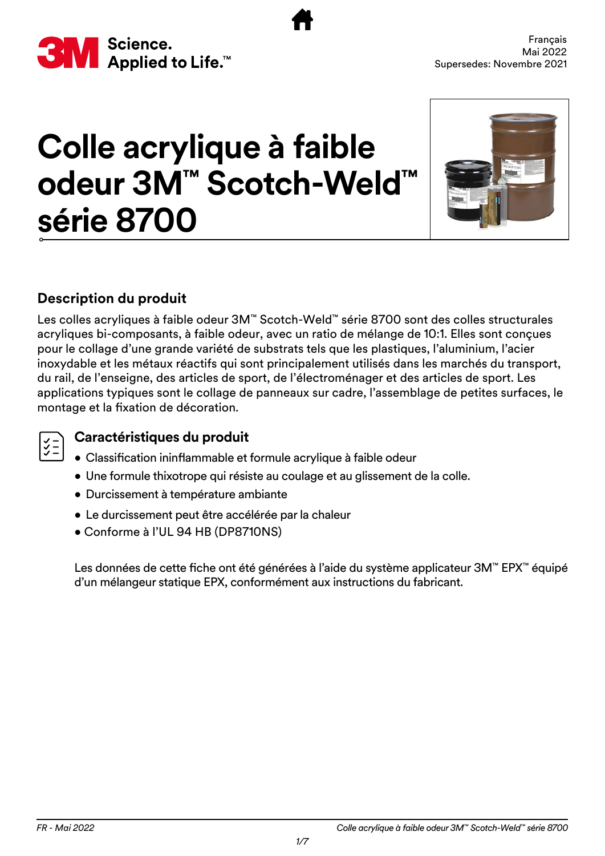<span id="page-15-0"></span>

# **Colle acrylique à faible odeur 3M™ Scotch-Weld™ série 8700**



#### **Description du produit**

Les colles acryliques à faible odeur 3M™ Scotch-Weld™ série 8700 sont des colles structurales acryliques bi-composants, à faible odeur, avec un ratio de mélange de 10:1. Elles sont conçues pour le collage d'une grande variété de substrats tels que les plastiques, l'aluminium, l'acier inoxydable et les métaux réactifs qui sont principalement utilisés dans les marchés du transport, du rail, de l'enseigne, des articles de sport, de l'électroménager et des articles de sport. Les applications typiques sont le collage de panneaux sur cadre, l'assemblage de petites surfaces, le montage et la fixation de décoration.

## $\big|\begin{smallmatrix} \checkmark\\ \checkmark \end{smallmatrix}\big|$

#### **Caractéristiques du produit**

- Classification ininflammable et formule acrylique à faible odeur
- Une formule thixotrope qui résiste au coulage et au glissement de la colle.
- Durcissement à température ambiante
- Le durcissement peut être accélérée par la chaleur
- Conforme à l'UL 94 HB (DP8710NS)

Les données de cette fiche ont été générées à l'aide du système applicateur 3M™ EPX™ équipé d'un mélangeur statique EPX, conformément aux instructions du fabricant.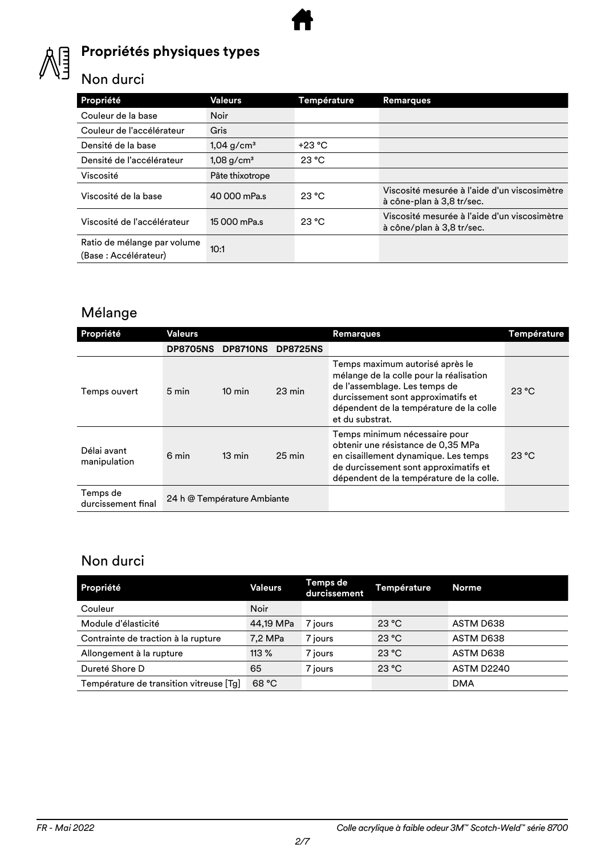

#### **Propriétés physiques types**

#### Non durci

| Propriété                                           | Valeurs                  | Température | <b>Remarques</b>                                                          |
|-----------------------------------------------------|--------------------------|-------------|---------------------------------------------------------------------------|
| Couleur de la base                                  | <b>Noir</b>              |             |                                                                           |
| Couleur de l'accélérateur                           | Gris                     |             |                                                                           |
| Densité de la base                                  | $1,04$ g/cm <sup>3</sup> | $+23 °C$    |                                                                           |
| Densité de l'accélérateur                           | $1,08$ g/cm <sup>3</sup> | 23 °C       |                                                                           |
| Viscosité                                           | Pâte thixotrope          |             |                                                                           |
| Viscosité de la base                                | 40 000 mPa.s             | 23 °C       | Viscosité mesurée à l'aide d'un viscosimètre<br>à cône-plan à 3,8 tr/sec. |
| Viscosité de l'accélérateur                         | 15 000 mPa.s             | 23 °C       | Viscosité mesurée à l'aide d'un viscosimètre<br>à cône/plan à 3,8 tr/sec. |
| Ratio de mélange par volume<br>(Base: Accélérateur) | 10:1                     |             |                                                                           |

### Mélange

| Propriété                      | Valeurs                     |                  |                  | <b>Remarques</b>                                                                                                                                                                                                | Température |
|--------------------------------|-----------------------------|------------------|------------------|-----------------------------------------------------------------------------------------------------------------------------------------------------------------------------------------------------------------|-------------|
|                                | <b>DP8705NS</b>             | <b>DP8710NS</b>  | <b>DP8725NS</b>  |                                                                                                                                                                                                                 |             |
| Temps ouvert                   | 5 min                       | $10 \text{ min}$ | $23 \text{ min}$ | Temps maximum autorisé après le<br>mélange de la colle pour la réalisation<br>de l'assemblage. Les temps de<br>durcissement sont approximatifs et<br>dépendent de la température de la colle<br>et du substrat. | 23 °C       |
| Délai avant<br>manipulation    | 6 min                       | $13 \text{ min}$ | $25 \text{ min}$ | Temps minimum nécessaire pour<br>obtenir une résistance de 0,35 MPa<br>en cisaillement dynamique. Les temps<br>de durcissement sont approximatifs et<br>dépendent de la température de la colle.                | 23 °C       |
| Temps de<br>durcissement final | 24 h @ Température Ambiante |                  |                  |                                                                                                                                                                                                                 |             |

#### Non durci

| Propriété                               | Valeurs     | Temps de<br>durcissement | Température | Norme <sub>1</sub> |
|-----------------------------------------|-------------|--------------------------|-------------|--------------------|
| Couleur                                 | <b>Noir</b> |                          |             |                    |
| Module d'élasticité                     | 44,19 MPa   | 7 jours                  | 23 °C       | ASTM D638          |
| Contrainte de traction à la rupture     | 7,2 MPa     | 7 jours                  | 23 °C       | ASTM D638          |
| Allongement à la rupture                | $113\%$     | 7 jours                  | 23 °C       | ASTM D638          |
| Dureté Shore D                          | 65          | 7 jours                  | 23 °C       | <b>ASTM D2240</b>  |
| Température de transition vitreuse [Tg] | 68 °C       |                          |             | <b>DMA</b>         |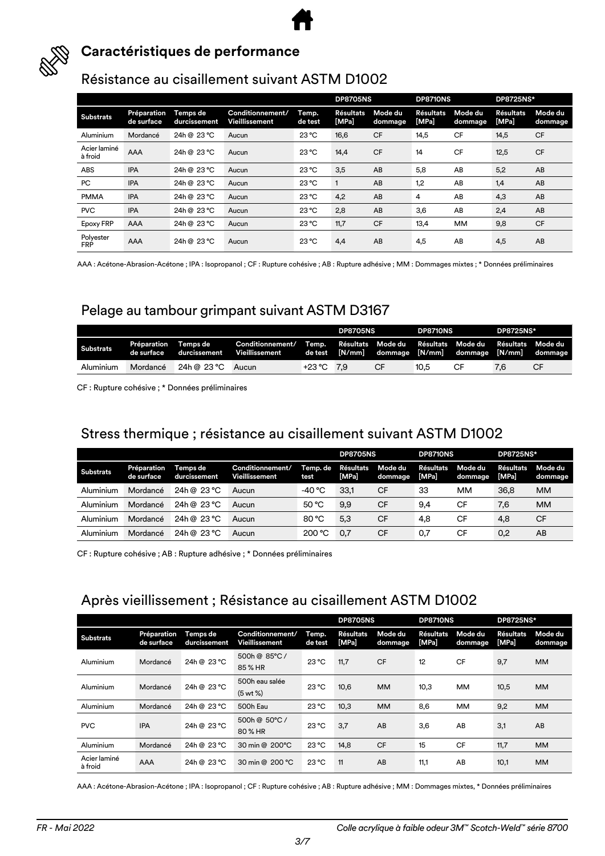



#### **Caractéristiques de performance**

#### Résistance au cisaillement suivant ASTM D1002

|                         |                           |                          |                                    |                  | <b>DP8705NS</b>    |                    | <b>DP8710NS</b>    |                    | <b>DP8725NS*</b>          |                    |
|-------------------------|---------------------------|--------------------------|------------------------------------|------------------|--------------------|--------------------|--------------------|--------------------|---------------------------|--------------------|
| <b>Substrats</b>        | Préparation<br>de surface | Temps de<br>durcissement | Conditionnement/<br>Vieillissement | Temp.<br>de test | Résultats<br>[MPa] | Mode du<br>dommage | Résultats<br>[MPa] | Mode du<br>dommage | <b>Résultats</b><br>[MPa] | Mode du<br>dommage |
| Aluminium               | Mordancé                  | 24h @ 23 °C              | Aucun                              | 23 °C            | 16,6               | <b>CF</b>          | 14,5               | <b>CF</b>          | 14,5                      | <b>CF</b>          |
| Acier laminé<br>à froid | AAA                       | 24h @ 23 °C              | Aucun                              | $23^{\circ}$ C   | 14,4               | <b>CF</b>          | 14                 | <b>CF</b>          | 12,5                      | <b>CF</b>          |
| <b>ABS</b>              | <b>IPA</b>                | 24h @ 23 °C              | Aucun                              | $23^{\circ}$ C   | 3,5                | AB                 | 5,8                | AB                 | 5,2                       | AB                 |
| PC                      | <b>IPA</b>                | 24h @ 23 °C              | Aucun                              | $23^{\circ}$ C   | $\mathbf{1}$       | AB                 | 1,2                | AB                 | 1,4                       | AB                 |
| <b>PMMA</b>             | <b>IPA</b>                | 24h @ 23 °C              | Aucun                              | $23^{\circ}$ C   | 4,2                | AB                 | 4                  | AB                 | 4,3                       | AB                 |
| <b>PVC</b>              | <b>IPA</b>                | 24h @ 23 °C              | Aucun                              | $23^{\circ}$ C   | 2,8                | AB                 | 3,6                | AB                 | 2,4                       | AB                 |
| Epoxy FRP               | AAA                       | 24h @ 23 °C              | Aucun                              | $23^{\circ}$ C   | 11,7               | <b>CF</b>          | 13,4               | MM                 | 9,8                       | <b>CF</b>          |
| Polyester<br><b>FRP</b> | AAA                       | 24h @ 23 °C              | Aucun                              | $23^{\circ}$ C   | 4,4                | AB                 | 4,5                | AB                 | 4,5                       | AB                 |

AAA : Acétone-Abrasion-Acétone ; IPA : Isopropanol ; CF : Rupture cohésive ; AB : Rupture adhésive ; MM : Dommages mixtes ; \* Données préliminaires

#### Pelage au tambour grimpant suivant ASTM D3167

|                  |                           |                          |                                    |              | <b>DP8705NS</b> |    | <b>DP8710NS</b> |                                     | <b>DP8725NS*</b>  |                                                      |
|------------------|---------------------------|--------------------------|------------------------------------|--------------|-----------------|----|-----------------|-------------------------------------|-------------------|------------------------------------------------------|
| <b>Substrats</b> | Préparation<br>de surface | Temps de<br>durcissement | Conditionnement/<br>Vieillissement | Temp.        |                 |    |                 | Résultats Mode-du Résultats Mode-du | Résultats Mode du | de test [N/mm] dommage [N/mm] dommage [N/mm] dommage |
| Aluminium        | Mordancé                  | 24h @ 23 °C              | Aucun                              | $+23 °C$ 7.9 |                 | CF | 10.5            | СF                                  | 7,6               | СF                                                   |

CF : Rupture cohésive ; \* Données préliminaires

#### Stress thermique ; résistance au cisaillement suivant ASTM D1002

|                  |                           |                          |                                           |                  | <b>DP8705NS</b>    |                    | <b>DP8710NS</b>           |                    | <b>DP8725NS*</b>          |                    |
|------------------|---------------------------|--------------------------|-------------------------------------------|------------------|--------------------|--------------------|---------------------------|--------------------|---------------------------|--------------------|
| <b>Substrats</b> | Préparation<br>de surface | Temps de<br>durcissement | Conditionnement/<br><b>Vieillissement</b> | Temp. de<br>test | Résultats<br>[MPa] | Mode du<br>dommage | <b>Résultats</b><br>[MPa] | Mode du<br>dommage | <b>Résultats</b><br>[MPa] | Mode du<br>dommage |
| Aluminium        | Mordancé                  | 24h @ 23 °C              | Aucun                                     | -40 °C           | 33,1               | <b>CF</b>          | 33                        | ΜМ                 | 36,8                      | MМ                 |
| Aluminium        | Mordancé                  | 24h @ 23 °C              | Aucun                                     | 50 °C            | 9,9                | <b>CF</b>          | 9.4                       | CF                 | 7,6                       | <b>MM</b>          |
| Aluminium        | Mordancé                  | 24h @ 23 °C              | Aucun                                     | 80 °C            | 5,3                | <b>CF</b>          | 4,8                       | CF                 | 4,8                       | <b>CF</b>          |
| Aluminium        | Mordancé                  | 24h @ 23 °C              | Aucun                                     | 200 °C           | 0,7                | <b>CF</b>          | 0,7                       | CF                 | 0,2                       | AB                 |

CF : Rupture cohésive ; AB : Rupture adhésive ; \* Données préliminaires

#### Après vieillissement ; Résistance au cisaillement ASTM D1002

|                         |                           |                          |                                        |                  | <b>DP8705NS</b>           |                    | <b>DP8710NS</b>           |                    | <b>DP8725NS*</b>          |                    |
|-------------------------|---------------------------|--------------------------|----------------------------------------|------------------|---------------------------|--------------------|---------------------------|--------------------|---------------------------|--------------------|
| <b>Substrats</b>        | Préparation<br>de surface | Temps de<br>durcissement | Conditionnement/<br>Vieillissement     | Temp.<br>de test | <b>Résultats</b><br>[MPa] | Mode du<br>dommage | <b>Résultats</b><br>[MPa] | Mode du<br>dommage | <b>Résultats</b><br>[MPa] | Mode du<br>dommage |
| Aluminium               | Mordancé                  | 24h @ 23 °C              | 500h @ 85°C /<br>85 % HR               | $23^{\circ}$ C   | 11.7                      | <b>CF</b>          | 12                        | <b>CF</b>          | 9,7                       | <b>MM</b>          |
| Aluminium               | Mordancé                  | 24h @ 23 °C              | 500h eau salée<br>$(5 \text{ wt } % )$ | 23 °C            | 10,6                      | <b>MM</b>          | 10,3                      | <b>MM</b>          | 10,5                      | <b>MM</b>          |
| Aluminium               | Mordancé                  | 24h @ 23 °C              | 500h Eau                               | $23^{\circ}$ C   | 10,3                      | <b>MM</b>          | 8,6                       | <b>MM</b>          | 9,2                       | <b>MM</b>          |
| <b>PVC</b>              | <b>IPA</b>                | 24h @ 23 °C              | 500h @ 50°C /<br>80 % HR               | 23 °C            | 3.7                       | AB                 | 3,6                       | AB                 | 3,1                       | AB                 |
| Aluminium               | Mordancé                  | 24h @ 23 °C              | 30 min @ 200°C                         | $23^{\circ}$ C   | 14,8                      | <b>CF</b>          | 15                        | <b>CF</b>          | 11,7                      | <b>MM</b>          |
| Acier laminé<br>à froid | <b>AAA</b>                | 24h @ 23 °C              | 30 min @ 200 °C                        | 23 °C            | 11                        | AB                 | 11,1                      | AB                 | 10,1                      | <b>MM</b>          |

AAA : Acétone-Abrasion-Acétone ; IPA : Isopropanol ; CF : Rupture cohésive ; AB : Rupture adhésive ; MM : Dommages mixtes, \* Données préliminaires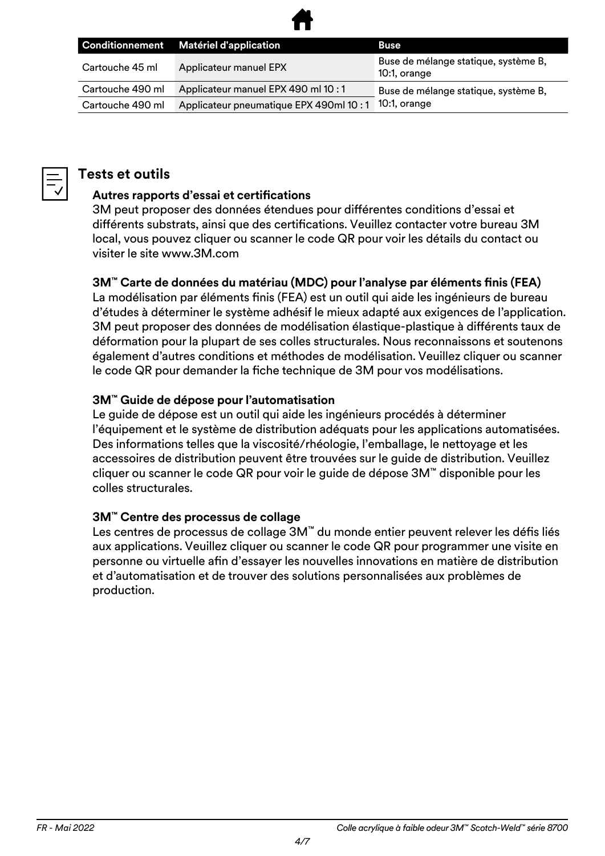

|                  | Conditionnement Matériel d'application | <b>Buse</b>                                          |
|------------------|----------------------------------------|------------------------------------------------------|
| Cartouche 45 ml  | Applicateur manuel EPX                 | Buse de mélange statique, système B,<br>10:1, orange |
| Cartouche 490 ml | Applicateur manuel EPX 490 ml 10 : 1   | Buse de mélange statique, système B,                 |
| Cartouche 490 ml | Applicateur pneumatique EPX 490ml 10:1 | $10:1$ , orange                                      |



#### **Tests et outils**

#### **Autres rapports d'essai et certifications**

3M peut proposer des données étendues pour différentes conditions d'essai et différents substrats, ainsi que des certifications. Veuillez contacter votre bureau 3M local, vous pouvez cliquer ou scanner le code QR pour voir les détails du contact ou visiter le site www.3M.com

#### **3M™ Carte de données du matériau (MDC) pour l'analyse par éléments finis (FEA)**

La modélisation par éléments finis (FEA) est un outil qui aide les ingénieurs de bureau d'études à déterminer le système adhésif le mieux adapté aux exigences de l'application. 3M peut proposer des données de modélisation élastique-plastique à différents taux de déformation pour la plupart de ses colles structurales. Nous reconnaissons et soutenons également d'autres conditions et méthodes de modélisation. Veuillez cliquer ou scanner le code QR pour demander la fiche technique de 3M pour vos modélisations.

#### **3M™ Guide de dépose pour l'automatisation**

Le guide de dépose est un outil qui aide les ingénieurs procédés à déterminer l'équipement et le système de distribution adéquats pour les applications automatisées. Des informations telles que la viscosité/rhéologie, l'emballage, le nettoyage et les accessoires de distribution peuvent être trouvées sur le guide de distribution. Veuillez cliquer ou scanner le code QR pour voir le guide de dépose 3M™ disponible pour les colles structurales.

#### **3M™ Centre des processus de collage**

Les centres de processus de collage 3M™ du monde entier peuvent relever les défis liés aux applications. Veuillez cliquer ou scanner le code QR pour programmer une visite en personne ou virtuelle afin d'essayer les nouvelles innovations en matière de distribution et d'automatisation et de trouver des solutions personnalisées aux problèmes de production.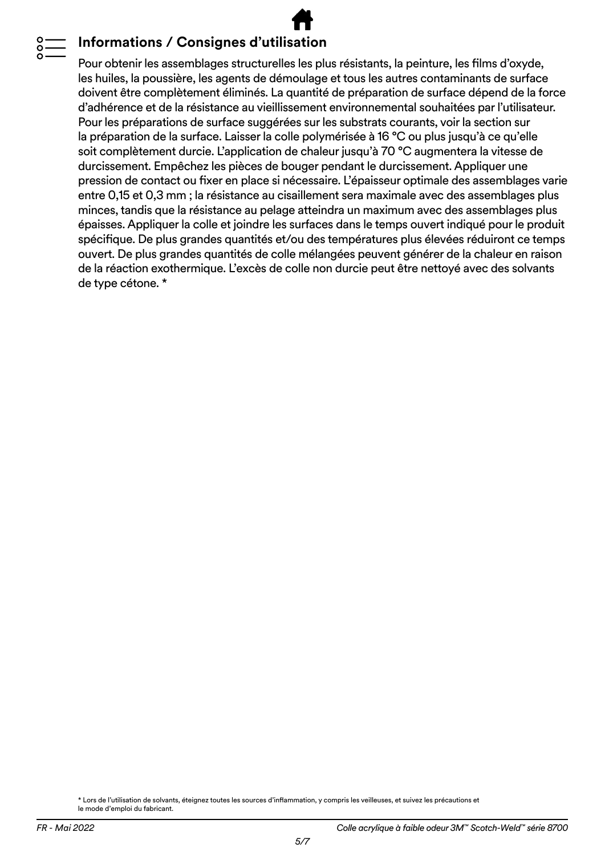#### **Informations / Consignes d'utilisation**

Pour obtenir les assemblages structurelles les plus résistants, la peinture, les films d'oxyde, les huiles, la poussière, les agents de démoulage et tous les autres contaminants de surface doivent être complètement éliminés. La quantité de préparation de surface dépend de la force d'adhérence et de la résistance au vieillissement environnemental souhaitées par l'utilisateur. Pour les préparations de surface suggérées sur les substrats courants, voir la section sur la préparation de la surface. Laisser la colle polymérisée à 16 °C ou plus jusqu'à ce qu'elle soit complètement durcie. L'application de chaleur jusqu'à 70 °C augmentera la vitesse de durcissement. Empêchez les pièces de bouger pendant le durcissement. Appliquer une pression de contact ou fixer en place si nécessaire. L'épaisseur optimale des assemblages varie entre 0,15 et 0,3 mm ; la résistance au cisaillement sera maximale avec des assemblages plus minces, tandis que la résistance au pelage atteindra un maximum avec des assemblages plus épaisses. Appliquer la colle et joindre les surfaces dans le temps ouvert indiqué pour le produit spécifique. De plus grandes quantités et/ou des températures plus élevées réduiront ce temps ouvert. De plus grandes quantités de colle mélangées peuvent générer de la chaleur en raison de la réaction exothermique. L'excès de colle non durcie peut être nettoyé avec des solvants de type cétone. \*

\* Lors de l'utilisation de solvants, éteignez toutes les sources d'inflammation, y compris les veilleuses, et suivez les précautions et le mode d'emploi du fabricant.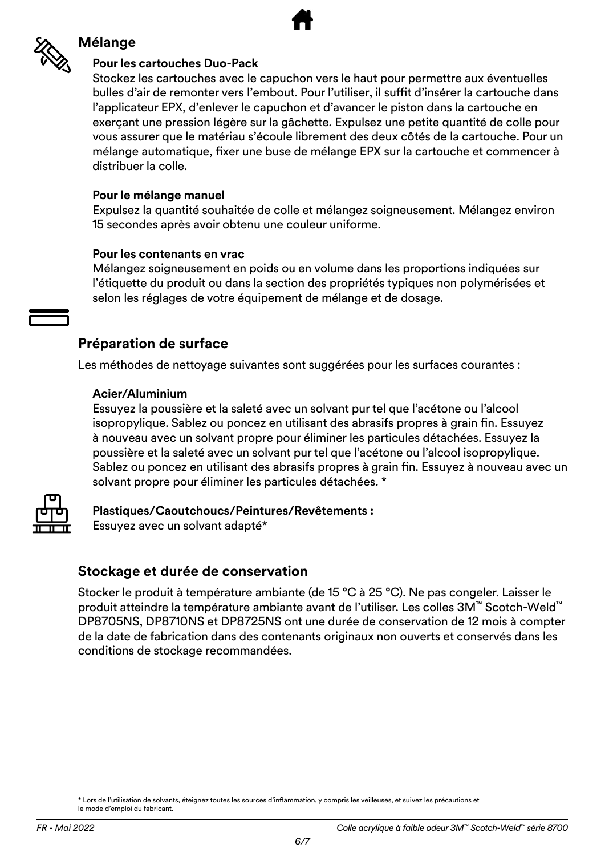

#### **Mélange**

#### **Pour les cartouches Duo-Pack**

Stockez les cartouches avec le capuchon vers le haut pour permettre aux éventuelles bulles d'air de remonter vers l'embout. Pour l'utiliser, il suffit d'insérer la cartouche dans l'applicateur EPX, d'enlever le capuchon et d'avancer le piston dans la cartouche en exerçant une pression légère sur la gâchette. Expulsez une petite quantité de colle pour vous assurer que le matériau s'écoule librement des deux côtés de la cartouche. Pour un mélange automatique, fixer une buse de mélange EPX sur la cartouche et commencer à distribuer la colle.

#### **Pour le mélange manuel**

Expulsez la quantité souhaitée de colle et mélangez soigneusement. Mélangez environ 15 secondes après avoir obtenu une couleur uniforme.

#### **Pour les contenants en vrac**

Mélangez soigneusement en poids ou en volume dans les proportions indiquées sur l'étiquette du produit ou dans la section des propriétés typiques non polymérisées et selon les réglages de votre équipement de mélange et de dosage.

#### **Préparation de surface**

Les méthodes de nettoyage suivantes sont suggérées pour les surfaces courantes :

#### **Acier/Aluminium**

Essuyez la poussière et la saleté avec un solvant pur tel que l'acétone ou l'alcool isopropylique. Sablez ou poncez en utilisant des abrasifs propres à grain fin. Essuyez à nouveau avec un solvant propre pour éliminer les particules détachées. Essuyez la poussière et la saleté avec un solvant pur tel que l'acétone ou l'alcool isopropylique. Sablez ou poncez en utilisant des abrasifs propres à grain fin. Essuyez à nouveau avec un solvant propre pour éliminer les particules détachées. \*



**Plastiques/Caoutchoucs/Peintures/Revêtements :** Essuyez avec un solvant adapté\*

#### **Stockage et durée de conservation**

Stocker le produit à température ambiante (de 15 °C à 25 °C). Ne pas congeler. Laisser le produit atteindre la température ambiante avant de l'utiliser. Les colles 3M™ Scotch-Weld™ DP8705NS, DP8710NS et DP8725NS ont une durée de conservation de 12 mois à compter de la date de fabrication dans des contenants originaux non ouverts et conservés dans les conditions de stockage recommandées.

<sup>\*</sup> Lors de l'utilisation de solvants, éteignez toutes les sources d'inflammation, y compris les veilleuses, et suivez les précautions et le mode d'emploi du fabricant.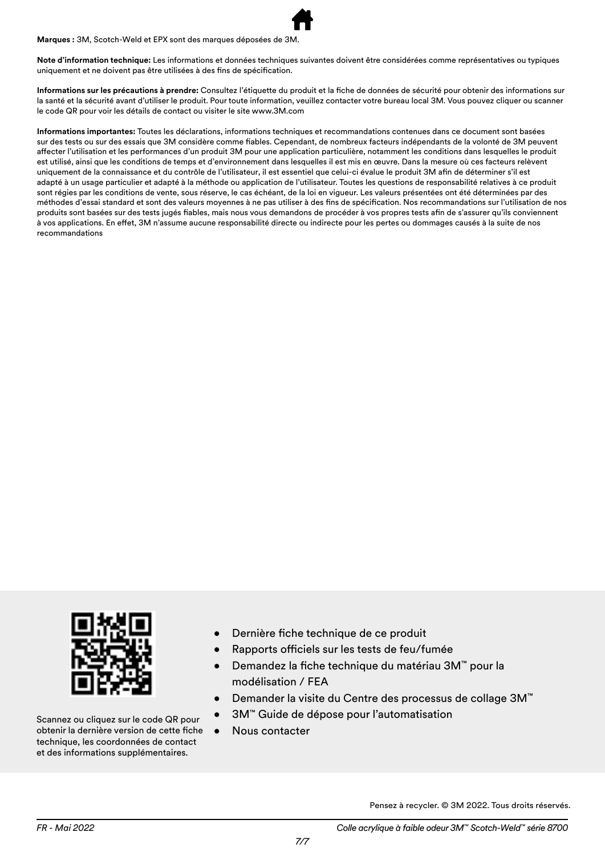**Marques :** 3M, Scotch-Weld et EPX sont des marques déposées de 3M.

**Note d'information technique:** Les informations et données techniques suivantes doivent être considérées comme représentatives ou typiques uniquement et ne doivent pas être utilisées à des fins de spécification.

**Informations sur les précautions à prendre:** Consultez l'étiquette du produit et la fiche de données de sécurité pour obtenir des informations sur la santé et la sécurité avant d'utiliser le produit. Pour toute information, veuillez contacter votre bureau local 3M. Vous pouvez cliquer ou scanner le code QR pour voir les détails de contact ou visiter le site www.3M.com

**Informations importantes:** Toutes les déclarations, informations techniques et recommandations contenues dans ce document sont basées sur des tests ou sur des essais que 3M considère comme fiables. Cependant, de nombreux facteurs indépendants de la volonté de 3M peuvent affecter l'utilisation et les performances d'un produit 3M pour une application particulière, notamment les conditions dans lesquelles le produit est utilisé, ainsi que les conditions de temps et d'environnement dans lesquelles il est mis en œuvre. Dans la mesure où ces facteurs relèvent uniquement de la connaissance et du contrôle de l'utilisateur, il est essentiel que celui-ci évalue le produit 3M afin de déterminer s'il est adapté à un usage particulier et adapté à la méthode ou application de l'utilisateur. Toutes les questions de responsabilité relatives à ce produit sont régies par les conditions de vente, sous réserve, le cas échéant, de la loi en vigueur. Les valeurs présentées ont été déterminées par des méthodes d'essai standard et sont des valeurs moyennes à ne pas utiliser à des fins de spécification. Nos recommandations sur l'utilisation de nos produits sont basées sur des tests jugés fiables, mais nous vous demandons de procéder à vos propres tests afin de s'assurer qu'ils conviennent à vos applications. En effet, 3M n'assume aucune responsabilité directe ou indirecte pour les pertes ou dommages causés à la suite de nos recommandations



Scannez ou cliquez sur le code QR pour obtenir la dernière version de cette fiche technique, les coordonnées de contact et des informations supplémentaires.

- Dernière fiche technique de ce produit
- Rapports officiels sur les tests de feu/fumée
- Demandez la fiche technique du matériau 3M™ pour la modélisation / FEA
- Demander la visite du Centre des processus de collage 3M™
- 3M™ Guide de dépose pour l'automatisation
- Nous contacter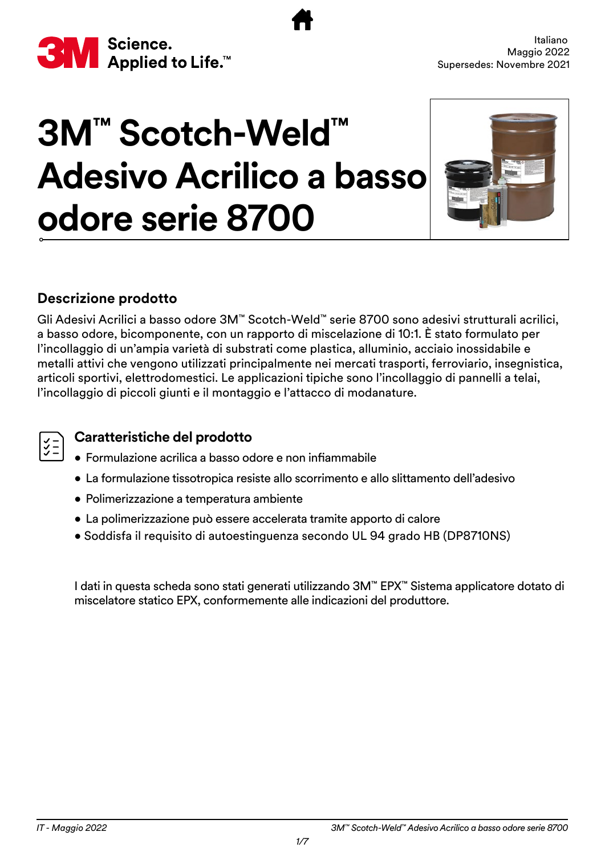<span id="page-22-0"></span>

# **3M™ Scotch-Weld™ Adesivo Acrilico a basso odore serie 8700**



#### **Descrizione prodotto**

Gli Adesivi Acrilici a basso odore 3M™ Scotch-Weld™ serie 8700 sono adesivi strutturali acrilici, a basso odore, bicomponente, con un rapporto di miscelazione di 10:1. È stato formulato per l'incollaggio di un'ampia varietà di substrati come plastica, alluminio, acciaio inossidabile e metalli attivi che vengono utilizzati principalmente nei mercati trasporti, ferroviario, insegnistica, articoli sportivi, elettrodomestici. Le applicazioni tipiche sono l'incollaggio di pannelli a telai, l'incollaggio di piccoli giunti e il montaggio e l'attacco di modanature.

#### **Caratteristiche del prodotto**

- Formulazione acrilica a basso odore e non infiammabile
- La formulazione tissotropica resiste allo scorrimento e allo slittamento dell'adesivo
- Polimerizzazione a temperatura ambiente
- La polimerizzazione può essere accelerata tramite apporto di calore
- Soddisfa il requisito di autoestinguenza secondo UL 94 grado HB (DP8710NS)

I dati in questa scheda sono stati generati utilizzando 3M™ EPX™ Sistema applicatore dotato di miscelatore statico EPX, conformemente alle indicazioni del produttore.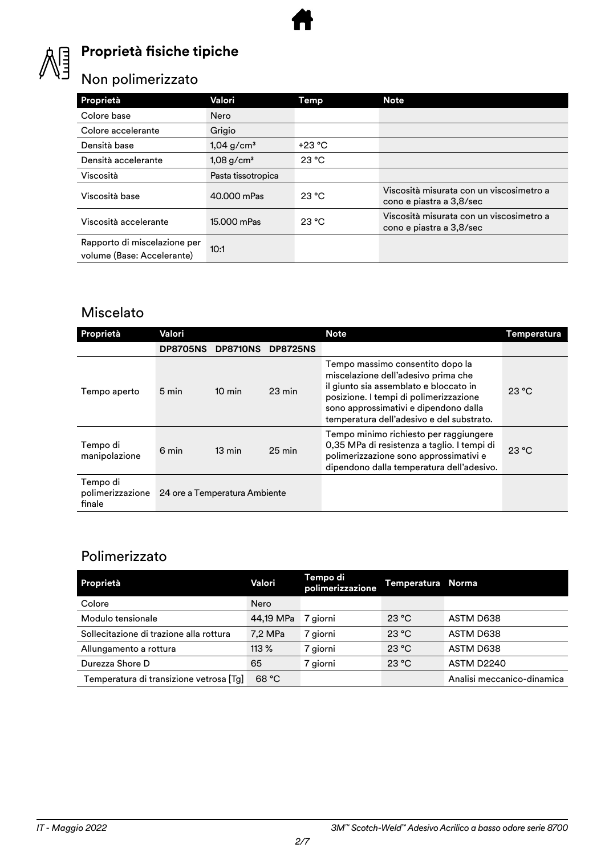

### **Proprietà fisiche tipiche**

### Non polimerizzato

| Proprietà                                                  | Valori                   | Temp     | <b>Note</b>                                                          |
|------------------------------------------------------------|--------------------------|----------|----------------------------------------------------------------------|
| Colore base                                                | Nero                     |          |                                                                      |
| Colore accelerante                                         | Grigio                   |          |                                                                      |
| Densità base                                               | $1,04$ g/cm <sup>3</sup> | $+23 °C$ |                                                                      |
| Densità accelerante                                        | $1,08$ g/cm <sup>3</sup> | 23 °C    |                                                                      |
| Viscosità                                                  | Pasta tissotropica       |          |                                                                      |
| Viscosità base                                             | 40.000 mPas              | 23 °C    | Viscosità misurata con un viscosimetro a<br>cono e piastra a 3,8/sec |
| Viscosità accelerante                                      | 15.000 mPas              | 23 °C    | Viscosità misurata con un viscosimetro a<br>cono e piastra a 3,8/sec |
| Rapporto di miscelazione per<br>volume (Base: Accelerante) | 10:1                     |          |                                                                      |

#### Miscelato

| <b>Proprietà</b>                       | Valori          |                               |                  | <b>Note</b>                                                                                                                                                                                                                                       | <b>Temperatura</b> |
|----------------------------------------|-----------------|-------------------------------|------------------|---------------------------------------------------------------------------------------------------------------------------------------------------------------------------------------------------------------------------------------------------|--------------------|
|                                        | <b>DP8705NS</b> | <b>DP8710NS</b>               | <b>DP8725NS</b>  |                                                                                                                                                                                                                                                   |                    |
| Tempo aperto                           | 5 min           | $10 \text{ min}$              | $23 \text{ min}$ | Tempo massimo consentito dopo la<br>miscelazione dell'adesivo prima che<br>il giunto sia assemblato e bloccato in<br>posizione. I tempi di polimerizzazione<br>sono approssimativi e dipendono dalla<br>temperatura dell'adesivo e del substrato. | 23 °C              |
| Tempo di<br>manipolazione              | 6 min           | $13 \text{ min}$              | $25 \text{ min}$ | Tempo minimo richiesto per raggiungere<br>0,35 MPa di resistenza a taglio. I tempi di<br>polimerizzazione sono approssimativi e<br>dipendono dalla temperatura dell'adesivo.                                                                      | 23 °C              |
| Tempo di<br>polimerizzazione<br>finale |                 | 24 ore a Temperatura Ambiente |                  |                                                                                                                                                                                                                                                   |                    |

#### Polimerizzato

| Proprietà                               | Valori    | Tempo di<br>polimerizzazione | Temperatura Norma |                            |
|-----------------------------------------|-----------|------------------------------|-------------------|----------------------------|
| Colore                                  | Nero      |                              |                   |                            |
| Modulo tensionale                       | 44,19 MPa | 7 giorni                     | 23 °C             | ASTM D638                  |
| Sollecitazione di trazione alla rottura | 7,2 MPa   | 7 giorni                     | 23 °C             | ASTM D638                  |
| Allungamento a rottura                  | 113%      | 7 giorni                     | 23 °C             | ASTM D638                  |
| Durezza Shore D                         | 65        | 7 giorni                     | 23 °C             | <b>ASTM D2240</b>          |
| Temperatura di transizione vetrosa [Tg] | 68 °C     |                              |                   | Analisi meccanico-dinamica |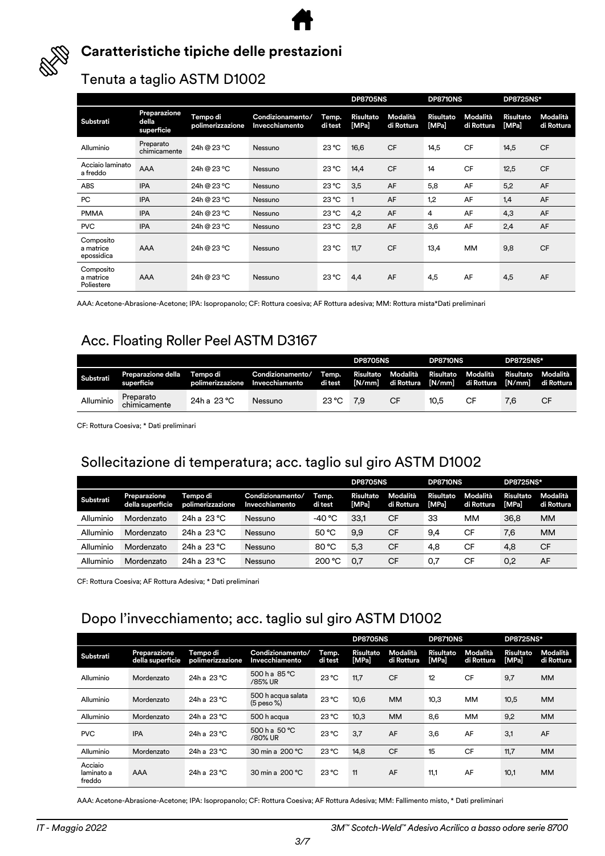



#### **Caratteristiche tipiche delle prestazioni**

#### Tenuta a taglio ASTM D1002

|                                      |                                     |                              |                                    |                  | <b>DP8705NS</b>           |                        | <b>DP8710NS</b>    |                        | <b>DP8725NS*</b>   |                        |
|--------------------------------------|-------------------------------------|------------------------------|------------------------------------|------------------|---------------------------|------------------------|--------------------|------------------------|--------------------|------------------------|
| Substrati                            | Preparazione<br>della<br>superficie | Tempo di<br>polimerizzazione | Condizionamento/<br>Invecchiamento | Temp.<br>di test | <b>Risultato</b><br>[MPa] | Modalità<br>di Rottura | Risultato<br>[MPa] | Modalità<br>di Rottura | Risultato<br>[MPa] | Modalità<br>di Rottura |
| Alluminio                            | Preparato<br>chimicamente           | 24h @ 23 °C                  | Nessuno                            | $23^{\circ}$ C   | 16,6                      | <b>CF</b>              | 14,5               | <b>CF</b>              | 14,5               | <b>CF</b>              |
| Acciaio laminato<br>a freddo         | AAA                                 | 24h @ 23 °C                  | Nessuno                            | $23^{\circ}$ C   | 14,4                      | <b>CF</b>              | 14                 | <b>CF</b>              | 12,5               | <b>CF</b>              |
| ABS                                  | <b>IPA</b>                          | 24h @ 23 °C                  | Nessuno                            | 23 °C            | 3,5                       | AF                     | 5,8                | AF                     | 5,2                | AF                     |
| PC                                   | <b>IPA</b>                          | 24h @ 23 °C                  | Nessuno                            | $23^{\circ}$ C   |                           | AF                     | 1,2                | AF                     | 1,4                | AF                     |
| <b>PMMA</b>                          | <b>IPA</b>                          | 24h @ 23 °C                  | Nessuno                            | 23 °C            | 4,2                       | AF                     | 4                  | AF                     | 4,3                | AF                     |
| <b>PVC</b>                           | <b>IPA</b>                          | 24h @ 23 °C                  | Nessuno                            | $23^{\circ}$ C   | 2,8                       | AF                     | 3,6                | AF                     | 2,4                | AF                     |
| Composito<br>a matrice<br>epossidica | <b>AAA</b>                          | 24h @ 23 °C                  | Nessuno                            | $23^{\circ}$ C   | 11,7                      | <b>CF</b>              | 13,4               | <b>MM</b>              | 9,8                | <b>CF</b>              |
| Composito<br>a matrice<br>Poliestere | <b>AAA</b>                          | 24h @ 23 °C                  | Nessuno                            | $23^{\circ}$ C   | 4,4                       | AF                     | 4,5                | AF                     | 4,5                | AF                     |

AAA: Acetone-Abrasione-Acetone; IPA: Isopropanolo; CF: Rottura coesiva; AF Rottura adesiva; MM: Rottura mista\*Dati preliminari

### Acc. Floating Roller Peel ASTM D3167

|           |                                  |                              |                                    |                  | <b>DP8705NS</b> |                    | <b>DP8710NS</b> |                                                        | <b>DP8725NS*</b> |                        |
|-----------|----------------------------------|------------------------------|------------------------------------|------------------|-----------------|--------------------|-----------------|--------------------------------------------------------|------------------|------------------------|
| Substrati | Preparazione della<br>superficie | Tempo di<br>polimerizzazione | Condizionamento/<br>Invecchiamento | Temp.<br>di test |                 | Risultato Modalità | Risultato       | Modalità<br>[N/mm] di Rottura [N/mm] di Rottura [N/mm] | <b>Risultato</b> | Modalità<br>di Rottura |
| Alluminio | Preparato<br>chimicamente        | 24h a 23 °C                  | Nessuno                            | 23 °C            | 7.9             | СF                 | 10.5            |                                                        | 7.6              | CF                     |

CF: Rottura Coesiva; \* Dati preliminari

#### Sollecitazione di temperatura; acc. taglio sul giro ASTM D1002

|           |                                  |                              |                                    |                  | <b>DP8705NS</b>    |                        | <b>DP8710NS</b>    |                        | <b>DP8725NS*</b>          |                        |
|-----------|----------------------------------|------------------------------|------------------------------------|------------------|--------------------|------------------------|--------------------|------------------------|---------------------------|------------------------|
| Substrati | Preparazione<br>della superficie | Tempo di<br>polimerizzazione | Condizionamento/<br>Invecchiamento | Temp.<br>di test | Risultato<br>[MPa] | Modalità<br>di Rottura | Risultato<br>[MPa] | Modalità<br>di Rottura | Risultato<br><b>IMPal</b> | Modalità<br>di Rottura |
| Alluminio | Mordenzato                       | 24h a $23^{\circ}$ C         | Nessuno                            | -40 °C           | 33.1               | СF                     | 33                 | мм                     | 36.8                      | <b>MM</b>              |
| Alluminio | Mordenzato                       | 24h a 23 °C                  | Nessuno                            | 50 °C            | 9.9                | СF                     | 9.4                | СF                     | 7,6                       | <b>MM</b>              |
| Alluminio | Mordenzato                       | 24h a 23 °C                  | Nessuno                            | 80 °C            | 5.3                | <b>CF</b>              | 4.8                | CF                     | 4.8                       | <b>CF</b>              |
| Alluminio | Mordenzato                       | 24h a 23 °C                  | Nessuno                            | 200 °C           | 0.7                | СF                     | 0.7                | СF                     | 0.2                       | AF                     |

CF: Rottura Coesiva; AF Rottura Adesiva; \* Dati preliminari

#### Dopo l'invecchiamento; acc. taglio sul giro ASTM D1002

|                                 |                                  |                              |                                      |                  | <b>DP8705NS</b>           |                        | DP8710NS                  |                        | <b>DP8725NS*</b>          |                        |
|---------------------------------|----------------------------------|------------------------------|--------------------------------------|------------------|---------------------------|------------------------|---------------------------|------------------------|---------------------------|------------------------|
| Substrati                       | Preparazione<br>della superficie | Tempo di<br>polimerizzazione | Condizionamento/<br>Invecchiamento   | Temp.<br>di test | <b>Risultato</b><br>[MPa] | Modalità<br>di Rottura | <b>Risultato</b><br>[MPa] | Modalità<br>di Rottura | <b>Risultato</b><br>[MPa] | Modalità<br>di Rottura |
| Alluminio                       | Mordenzato                       | 24h a 23 °C                  | 500 h a 85 °C<br>/85% UR             | 23 °C            | 11.7                      | <b>CF</b>              | 12                        | <b>CF</b>              | 9,7                       | <b>MM</b>              |
| Alluminio                       | Mordenzato                       | 24h a 23 °C                  | 500 h acqua salata<br>$(5$ peso $%)$ | $23^{\circ}$ C   | 10,6                      | <b>MM</b>              | 10,3                      | MM                     | 10,5                      | <b>MM</b>              |
| Alluminio                       | Mordenzato                       | 24h a 23 °C                  | 500 h acqua                          | $23^{\circ}$ C   | 10,3                      | <b>MM</b>              | 8,6                       | MM                     | 9,2                       | <b>MM</b>              |
| <b>PVC</b>                      | <b>IPA</b>                       | 24h a 23 °C                  | $500 h$ a $50 °C$<br>/80% UR         | $23^{\circ}$ C   | 3.7                       | AF                     | 3,6                       | AF                     | 3,1                       | AF                     |
| Alluminio                       | Mordenzato                       | 24h a 23 °C                  | 30 min a 200 °C                      | $23^{\circ}$ C   | 14,8                      | <b>CF</b>              | 15                        | <b>CF</b>              | 11,7                      | <b>MM</b>              |
| Acciaio<br>laminato a<br>freddo | <b>AAA</b>                       | 24h a 23 °C                  | 30 min a 200 °C                      | $23^{\circ}$ C   | 11                        | AF                     | 11,1                      | AF                     | 10,1                      | <b>MM</b>              |

AAA: Acetone-Abrasione-Acetone; IPA: Isopropanolo; CF: Rottura Coesiva; AF Rottura Adesiva; MM: Fallimento misto, \* Dati preliminari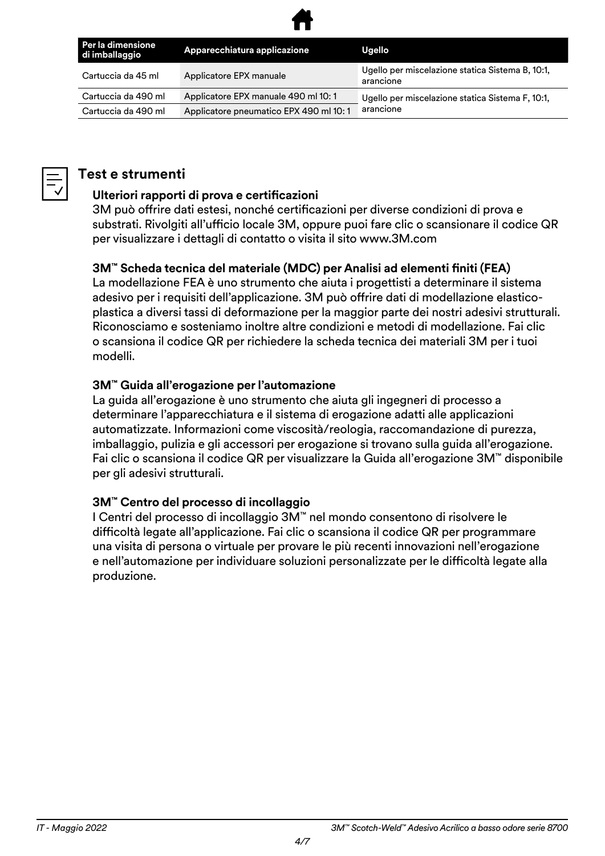

| Per la dimensione<br>di imballaggio | Apparecchiatura applicazione           | Ugello                                                        |
|-------------------------------------|----------------------------------------|---------------------------------------------------------------|
| Cartuccia da 45 ml                  | Applicatore EPX manuale                | Ugello per miscelazione statica Sistema B, 10:1,<br>arancione |
| Cartuccia da 490 ml                 | Applicatore EPX manuale 490 ml 10:1    | Ugello per miscelazione statica Sistema F, 10:1,              |
| Cartuccia da 490 ml                 | Applicatore pneumatico EPX 490 ml 10:1 | arancione                                                     |



#### **Test e strumenti**

#### **Ulteriori rapporti di prova e certificazioni**

3M può offrire dati estesi, nonché certificazioni per diverse condizioni di prova e substrati. Rivolgiti all'ufficio locale 3M, oppure puoi fare clic o scansionare il codice QR per visualizzare i dettagli di contatto o visita il sito www.3M.com

#### **3M™ Scheda tecnica del materiale (MDC) per Analisi ad elementi finiti (FEA)**

La modellazione FEA è uno strumento che aiuta i progettisti a determinare il sistema adesivo per i requisiti dell'applicazione. 3M può offrire dati di modellazione elasticoplastica a diversi tassi di deformazione per la maggior parte dei nostri adesivi strutturali. Riconosciamo e sosteniamo inoltre altre condizioni e metodi di modellazione. Fai clic o scansiona il codice QR per richiedere la scheda tecnica dei materiali 3M per i tuoi modelli.

#### **3M™ Guida all'erogazione per l'automazione**

La guida all'erogazione è uno strumento che aiuta gli ingegneri di processo a determinare l'apparecchiatura e il sistema di erogazione adatti alle applicazioni automatizzate. Informazioni come viscosità/reologia, raccomandazione di purezza, imballaggio, pulizia e gli accessori per erogazione si trovano sulla guida all'erogazione. Fai clic o scansiona il codice QR per visualizzare la Guida all'erogazione 3M™ disponibile per gli adesivi strutturali.

#### **3M™ Centro del processo di incollaggio**

I Centri del processo di incollaggio 3M™ nel mondo consentono di risolvere le difficoltà legate all'applicazione. Fai clic o scansiona il codice QR per programmare una visita di persona o virtuale per provare le più recenti innovazioni nell'erogazione e nell'automazione per individuare soluzioni personalizzate per le difficoltà legate alla produzione.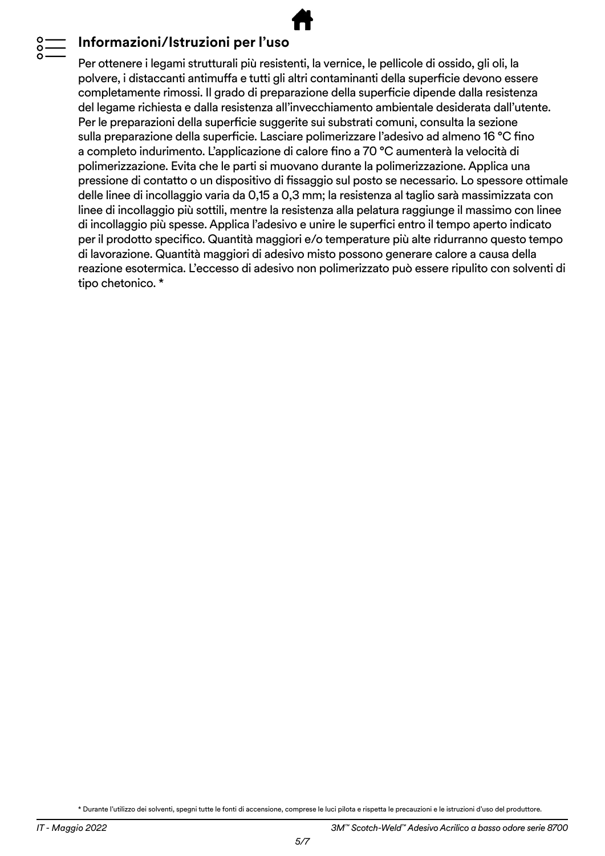#### **Informazioni/Istruzioni per l'uso**

Per ottenere i legami strutturali più resistenti, la vernice, le pellicole di ossido, gli oli, la polvere, i distaccanti antimuffa e tutti gli altri contaminanti della superficie devono essere completamente rimossi. Il grado di preparazione della superficie dipende dalla resistenza del legame richiesta e dalla resistenza all'invecchiamento ambientale desiderata dall'utente. Per le preparazioni della superficie suggerite sui substrati comuni, consulta la sezione sulla preparazione della superficie. Lasciare polimerizzare l'adesivo ad almeno 16 °C fino a completo indurimento. L'applicazione di calore fino a 70 °C aumenterà la velocità di polimerizzazione. Evita che le parti si muovano durante la polimerizzazione. Applica una pressione di contatto o un dispositivo di fissaggio sul posto se necessario. Lo spessore ottimale delle linee di incollaggio varia da 0,15 a 0,3 mm; la resistenza al taglio sarà massimizzata con linee di incollaggio più sottili, mentre la resistenza alla pelatura raggiunge il massimo con linee di incollaggio più spesse. Applica l'adesivo e unire le superfici entro il tempo aperto indicato per il prodotto specifico. Quantità maggiori e/o temperature più alte ridurranno questo tempo di lavorazione. Quantità maggiori di adesivo misto possono generare calore a causa della reazione esotermica. L'eccesso di adesivo non polimerizzato può essere ripulito con solventi di tipo chetonico. \*

\* Durante l'utilizzo dei solventi, spegni tutte le fonti di accensione, comprese le luci pilota e rispetta le precauzioni e le istruzioni d'uso del produttore.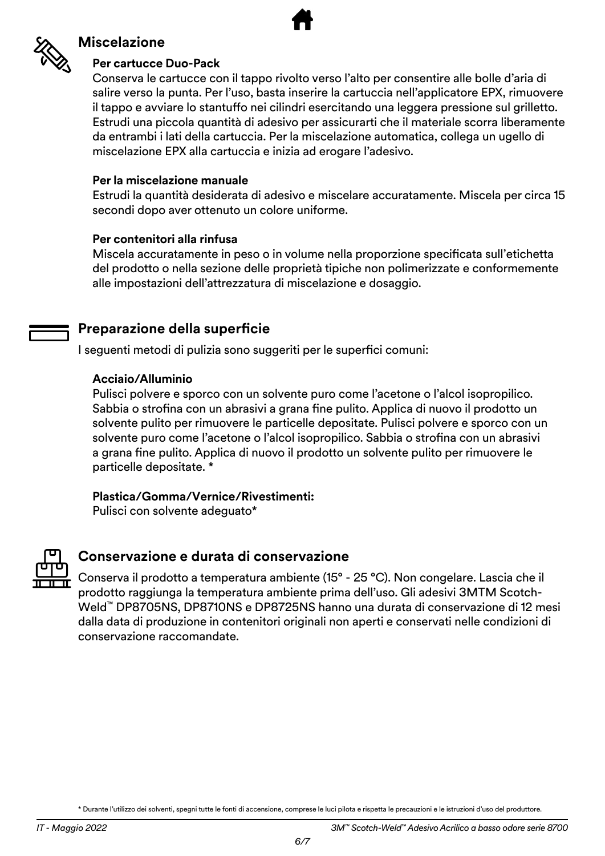

#### **Miscelazione**

#### **Per cartucce Duo-Pack**

Conserva le cartucce con il tappo rivolto verso l'alto per consentire alle bolle d'aria di salire verso la punta. Per l'uso, basta inserire la cartuccia nell'applicatore EPX, rimuovere il tappo e avviare lo stantuffo nei cilindri esercitando una leggera pressione sul grilletto. Estrudi una piccola quantità di adesivo per assicurarti che il materiale scorra liberamente da entrambi i lati della cartuccia. Per la miscelazione automatica, collega un ugello di miscelazione EPX alla cartuccia e inizia ad erogare l'adesivo.

#### **Per la miscelazione manuale**

Estrudi la quantità desiderata di adesivo e miscelare accuratamente. Miscela per circa 15 secondi dopo aver ottenuto un colore uniforme.

#### **Per contenitori alla rinfusa**

Miscela accuratamente in peso o in volume nella proporzione specificata sull'etichetta del prodotto o nella sezione delle proprietà tipiche non polimerizzate e conformemente alle impostazioni dell'attrezzatura di miscelazione e dosaggio.

#### **Preparazione della superficie**

I seguenti metodi di pulizia sono suggeriti per le superfici comuni:

#### **Acciaio/Alluminio**

Pulisci polvere e sporco con un solvente puro come l'acetone o l'alcol isopropilico. Sabbia o strofina con un abrasivi a grana fine pulito. Applica di nuovo il prodotto un solvente pulito per rimuovere le particelle depositate. Pulisci polvere e sporco con un solvente puro come l'acetone o l'alcol isopropilico. Sabbia o strofina con un abrasivi a grana fine pulito. Applica di nuovo il prodotto un solvente pulito per rimuovere le particelle depositate. \*

#### **Plastica/Gomma/Vernice/Rivestimenti:**

Pulisci con solvente adeguato\*



#### **Conservazione e durata di conservazione**

Conserva il prodotto a temperatura ambiente (15° - 25 °C). Non congelare. Lascia che il prodotto raggiunga la temperatura ambiente prima dell'uso. Gli adesivi 3MTM Scotch-Weld™ DP8705NS, DP8710NS e DP8725NS hanno una durata di conservazione di 12 mesi dalla data di produzione in contenitori originali non aperti e conservati nelle condizioni di conservazione raccomandate.

<sup>\*</sup> Durante l'utilizzo dei solventi, spegni tutte le fonti di accensione, comprese le luci pilota e rispetta le precauzioni e le istruzioni d'uso del produttore.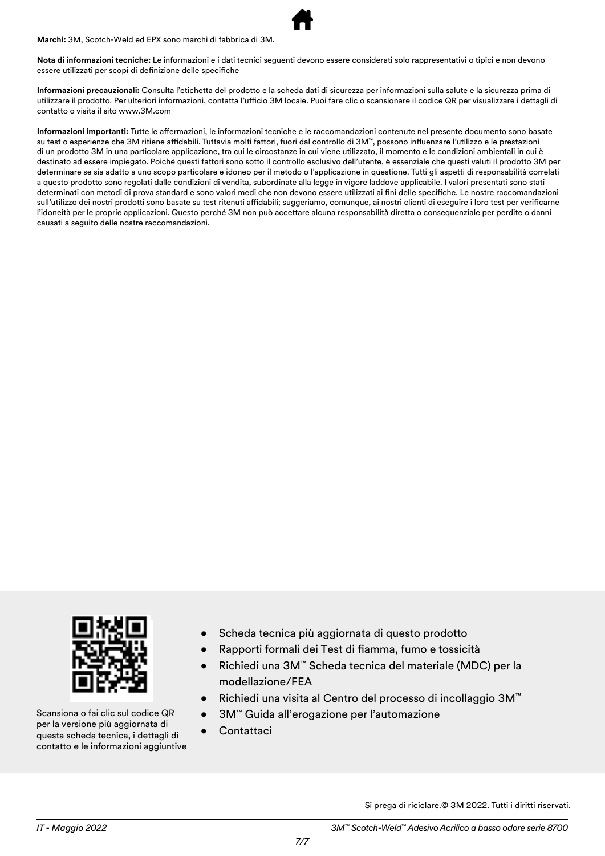**Marchi:** 3M, Scotch-Weld ed EPX sono marchi di fabbrica di 3M.



**Informazioni precauzionali:** Consulta l'etichetta del prodotto e la scheda dati di sicurezza per informazioni sulla salute e la sicurezza prima di utilizzare il prodotto. Per ulteriori informazioni, contatta l'ufficio 3M locale. Puoi fare clic o scansionare il codice QR per visualizzare i dettagli di contatto o visita il sito www.3M.com

**Informazioni importanti:** Tutte le affermazioni, le informazioni tecniche e le raccomandazioni contenute nel presente documento sono basate su test o esperienze che 3M ritiene affidabili. Tuttavia molti fattori, fuori dal controllo di 3M™, possono influenzare l'utilizzo e le prestazioni di un prodotto 3M in una particolare applicazione, tra cui le circostanze in cui viene utilizzato, il momento e le condizioni ambientali in cui è destinato ad essere impiegato. Poiché questi fattori sono sotto il controllo esclusivo dell'utente, è essenziale che questi valuti il prodotto 3M per determinare se sia adatto a uno scopo particolare e idoneo per il metodo o l'applicazione in questione. Tutti gli aspetti di responsabilità correlati a questo prodotto sono regolati dalle condizioni di vendita, subordinate alla legge in vigore laddove applicabile. I valori presentati sono stati determinati con metodi di prova standard e sono valori medi che non devono essere utilizzati ai fini delle specifiche. Le nostre raccomandazioni sull'utilizzo dei nostri prodotti sono basate su test ritenuti affidabili; suggeriamo, comunque, ai nostri clienti di eseguire i loro test per verificarne l'idoneità per le proprie applicazioni. Questo perché 3M non può accettare alcuna responsabilità diretta o consequenziale per perdite o danni causati a seguito delle nostre raccomandazioni.



Scansiona o fai clic sul codice QR per la versione più aggiornata di questa scheda tecnica, i dettagli di contatto e le informazioni aggiuntive

- Scheda tecnica più aggiornata di questo prodotto
- Rapporti formali dei Test di fiamma, fumo e tossicità
- Richiedi una 3M™ Scheda tecnica del materiale (MDC) per la modellazione/FEA
- Richiedi una visita al Centro del processo di incollaggio 3M™
- 3M™ Guida all'erogazione per l'automazione
- Contattaci

Si prega di riciclare.© 3M 2022. Tutti i diritti riservati.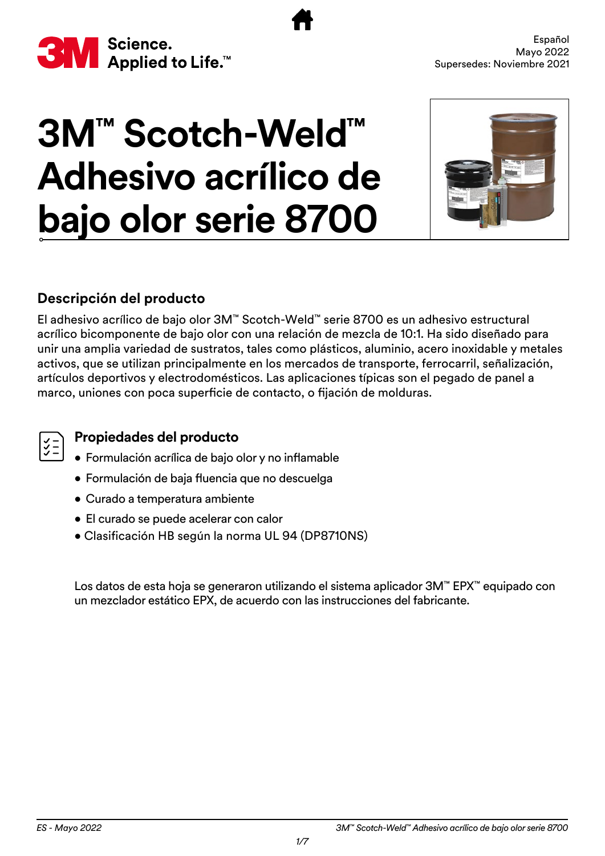<span id="page-29-0"></span>

# **3M™ Scotch-Weld™ Adhesivo acrílico de bajo olor serie 8700**



#### **Descripción del producto**

El adhesivo acrílico de bajo olor 3M™ Scotch-Weld™ serie 8700 es un adhesivo estructural acrílico bicomponente de bajo olor con una relación de mezcla de 10:1. Ha sido diseñado para unir una amplia variedad de sustratos, tales como plásticos, aluminio, acero inoxidable y metales activos, que se utilizan principalmente en los mercados de transporte, ferrocarril, señalización, artículos deportivos y electrodomésticos. Las aplicaciones típicas son el pegado de panel a marco, uniones con poca superficie de contacto, o fijación de molduras.

#### **Propiedades del producto**

- Formulación acrílica de bajo olor y no inflamable
- Formulación de baja fluencia que no descuelga
- Curado a temperatura ambiente
- El curado se puede acelerar con calor
- Clasificación HB según la norma UL 94 (DP8710NS)

Los datos de esta hoja se generaron utilizando el sistema aplicador 3M™ EPX™ equipado con un mezclador estático EPX, de acuerdo con las instrucciones del fabricante.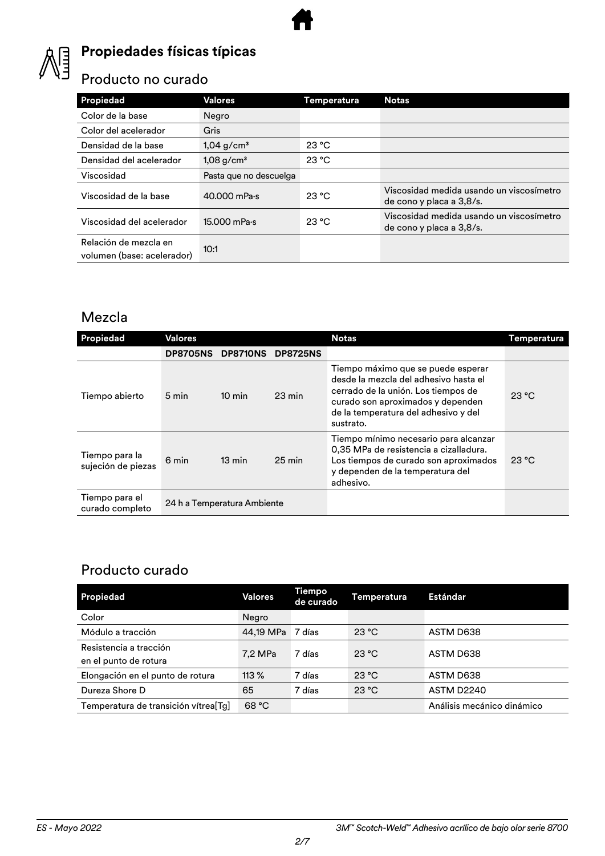

# **Propiedades físicas típicas**

#### Producto no curado

| <b>Propiedad</b>                                    | Valores                  | Temperatura | <b>Notas</b>                                                         |
|-----------------------------------------------------|--------------------------|-------------|----------------------------------------------------------------------|
| Color de la base                                    | Negro                    |             |                                                                      |
| Color del acelerador                                | Gris                     |             |                                                                      |
| Densidad de la base                                 | $1,04$ g/cm <sup>3</sup> | 23 °C       |                                                                      |
| Densidad del acelerador                             | $1,08$ g/cm <sup>3</sup> | 23 °C       |                                                                      |
| Viscosidad                                          | Pasta que no descuelga   |             |                                                                      |
| Viscosidad de la base                               | 40.000 mPa-s             | 23 °C       | Viscosidad medida usando un viscosímetro<br>de cono y placa a 3,8/s. |
| Viscosidad del acelerador                           | $15.000$ mPa $\cdot$ s   | 23 °C       | Viscosidad medida usando un viscosímetro<br>de cono y placa a 3,8/s. |
| Relación de mezcla en<br>volumen (base: acelerador) | 10:1                     |             |                                                                      |

#### Mezcla

| Propiedad                            | Valores         |                             |                  | <b>Notas</b>                                                                                                                                                                                                 | Temperatura |
|--------------------------------------|-----------------|-----------------------------|------------------|--------------------------------------------------------------------------------------------------------------------------------------------------------------------------------------------------------------|-------------|
|                                      | <b>DP8705NS</b> | <b>DP8710NS</b>             | <b>DP8725NS</b>  |                                                                                                                                                                                                              |             |
| Tiempo abierto                       | 5 min           | $10 \text{ min}$            | $23 \text{ min}$ | Tiempo máximo que se puede esperar<br>desde la mezcla del adhesivo hasta el<br>cerrado de la unión. Los tiempos de<br>curado son aproximados y dependen<br>de la temperatura del adhesivo y del<br>sustrato. | 23 °C       |
| Tiempo para la<br>sujeción de piezas | 6 min           | $13 \text{ min}$            | $25 \text{ min}$ | Tiempo mínimo necesario para alcanzar<br>0,35 MPa de resistencia a cizalladura.<br>Los tiempos de curado son aproximados<br>y dependen de la temperatura del<br>adhesivo.                                    | 23 °C       |
| Tiempo para el<br>curado completo    |                 | 24 h a Temperatura Ambiente |                  |                                                                                                                                                                                                              |             |

#### Producto curado

| Propiedad                                       | Valores   | <b>Tiempo</b><br>de curado | Temperatura | <b>Estándar</b>            |
|-------------------------------------------------|-----------|----------------------------|-------------|----------------------------|
| Color                                           | Negro     |                            |             |                            |
| Módulo a tracción                               | 44,19 MPa | 7 días                     | 23 °C       | ASTM D638                  |
| Resistencia a tracción<br>en el punto de rotura | 7.2 MPa   | 7 días                     | 23 °C       | ASTM D638                  |
| Elongación en el punto de rotura                | $113\%$   | 7 días                     | 23 °C       | ASTM D638                  |
| Dureza Shore D                                  | 65        | 7 días                     | 23 °C       | ASTM D2240                 |
| Temperatura de transición vítrea[Tg]            | 68 °C     |                            |             | Análisis mecánico dinámico |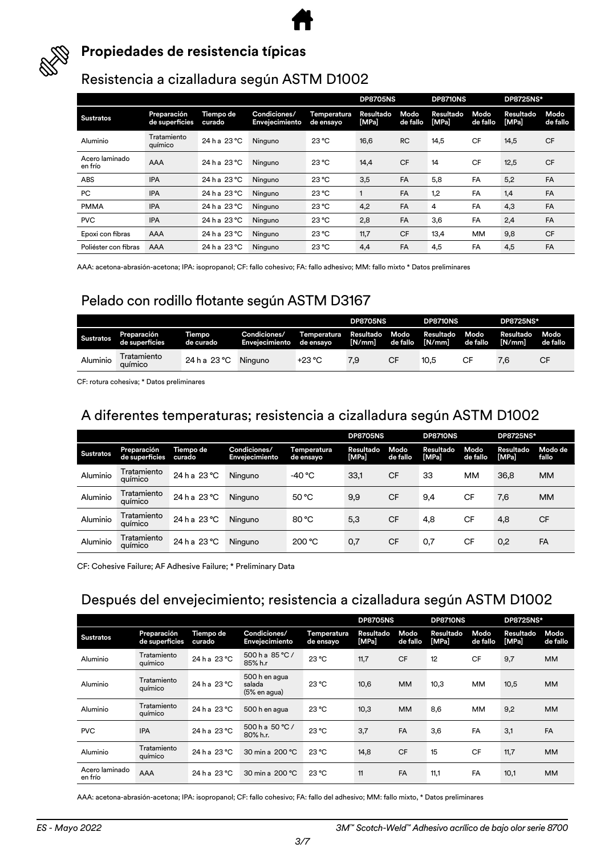



#### **Propiedades de resistencia típicas**

#### Resistencia a cizalladura según ASTM D1002

|                           |                               |                     |                                |                          | <b>DP8705NS</b><br>DP8710NS |                  |                    | <b>DP8725NS*</b> |                    |                  |
|---------------------------|-------------------------------|---------------------|--------------------------------|--------------------------|-----------------------------|------------------|--------------------|------------------|--------------------|------------------|
| <b>Sustratos</b>          | Preparación<br>de superficies | Tiempo de<br>curado | Condiciones/<br>Envejecimiento | Temperatura<br>de ensayo | Resultado<br>[MPa]          | Modo<br>de fallo | Resultado<br>[MPa] | Modo<br>de fallo | Resultado<br>[MPa] | Modo<br>de fallo |
| Aluminio                  | Tratamiento<br>químico        | 24 h a 23 °C        | Ninguno                        | 23 °C                    | 16,6                        | <b>RC</b>        | 14,5               | <b>CF</b>        | 14,5               | <b>CF</b>        |
| Acero laminado<br>en frío | <b>AAA</b>                    | 24 h a 23 °C        | Ninguno                        | 23 °C                    | 14,4                        | <b>CF</b>        | 14                 | <b>CF</b>        | 12,5               | <b>CF</b>        |
| <b>ABS</b>                | <b>IPA</b>                    | 24 h a 23 °C        | Ninguno                        | 23 °C                    | 3,5                         | <b>FA</b>        | 5,8                | FA               | 5,2                | FA               |
| PC                        | <b>IPA</b>                    | 24 h a 23 °C        | Ninguno                        | 23 °C                    |                             | <b>FA</b>        | 1,2                | FA               | 1,4                | FA               |
| <b>PMMA</b>               | <b>IPA</b>                    | 24 h a 23 °C        | Ninguno                        | 23 °C                    | 4,2                         | <b>FA</b>        | 4                  | FA               | 4,3                | FA               |
| <b>PVC</b>                | <b>IPA</b>                    | 24 h a 23 °C        | Ninguno                        | 23 °C                    | 2,8                         | FA               | 3,6                | FA               | 2,4                | FA               |
| Epoxi con fibras          | <b>AAA</b>                    | 24 h a 23 °C        | Ninguno                        | 23 °C                    | 11,7                        | <b>CF</b>        | 13,4               | MM               | 9,8                | <b>CF</b>        |
| Poliéster con fibras      | <b>AAA</b>                    | 24 h a 23 °C        | Ninguno                        | $23^{\circ}$ C           | 4,4                         | FA               | 4,5                | FA               | 4,5                | FA               |

AAA: acetona-abrasión-acetona; IPA: isopropanol; CF: fallo cohesivo; FA: fallo adhesivo; MM: fallo mixto \* Datos preliminares

#### Pelado con rodillo flotante según ASTM D3167

|                  |                               |                     |                                |                          | <b>DP8705NS</b>     |                  | <b>DP8710NS</b>     |                  | <b>DP8725NS*</b>    |                  |
|------------------|-------------------------------|---------------------|--------------------------------|--------------------------|---------------------|------------------|---------------------|------------------|---------------------|------------------|
| <b>Sustratos</b> | Preparación<br>de superficies | Tiempo<br>de curado | Condiciones/<br>Enveiecimiento | Temperatura<br>de ensavo | Resultado<br>[N/mm] | Modo<br>de fallo | Resultado<br>[N/mm] | Modo<br>de fallo | Resultado<br>[N/mm] | Modo<br>de fallo |
| Aluminio         | Tratamiento<br>auímico        | 24 h a 23 °C        | Ninguno                        | $+23 °C$                 | 7.9                 | CF               | 10.5                | СF               | 7.6                 | CF               |

CF: rotura cohesiva; \* Datos preliminares

#### A diferentes temperaturas; resistencia a cizalladura según ASTM D1002

|                  |                               |                     |                                       |                          | <b>DP8705NS</b>           |                  | <b>DP8710NS</b>    |                  | <b>DP8725NS*</b>   |                  |
|------------------|-------------------------------|---------------------|---------------------------------------|--------------------------|---------------------------|------------------|--------------------|------------------|--------------------|------------------|
| <b>Sustratos</b> | Preparación<br>de superficies | Tiempo de<br>curado | Condiciones/<br><b>Envejecimiento</b> | Temperatura<br>de ensayo | <b>Resultado</b><br>[MPa] | Modo<br>de fallo | Resultado<br>[MPa] | Modo<br>de fallo | Resultado<br>[MPa] | Modo de<br>fallo |
| Aluminio         | Tratamiento<br>químico        | 24 h a 23 °C        | Ninguno                               | -40 °C                   | 33,1                      | CF               | 33                 | MM               | 36,8               | <b>MM</b>        |
| Aluminio         | Tratamiento<br>químico        | 24 h a 23 °C        | Ninguno                               | 50 °C                    | 9,9                       | <b>CF</b>        | 9,4                | CF               | 7,6                | <b>MM</b>        |
| Aluminio         | Tratamiento<br>químico        | 24 h a 23 °C        | Ninguno                               | 80 °C                    | 5,3                       | <b>CF</b>        | 4,8                | CF               | 4,8                | <b>CF</b>        |
| Aluminio         | Tratamiento<br>químico        | $24 h$ a $23 °C$    | Ninguno                               | 200 °C                   | 0,7                       | CF               | 0,7                | CF               | 0,2                | FA               |

CF: Cohesive Failure; AF Adhesive Failure; \* Preliminary Data

#### Después del envejecimiento; resistencia a cizalladura según ASTM D1002

|                           |                               |                     |                                         |                          | <b>DP8705NS</b>    |                  | <b>DP8710NS</b>    |                  | <b>DP8725NS*</b>   |                  |
|---------------------------|-------------------------------|---------------------|-----------------------------------------|--------------------------|--------------------|------------------|--------------------|------------------|--------------------|------------------|
| <b>Sustratos</b>          | Preparación<br>de superficies | Tiempo de<br>curado | Condiciones/<br><b>Envejecimiento</b>   | Temperatura<br>de ensayo | Resultado<br>[MPa] | Modo<br>de fallo | Resultado<br>[MPa] | Modo<br>de fallo | Resultado<br>[MPa] | Modo<br>de fallo |
| Aluminio                  | Tratamiento<br>químico        | 24 h a 23 °C        | 500 h a $85 °C/$<br>85% h.r             | 23 °C                    | 11,7               | <b>CF</b>        | 12                 | <b>CF</b>        | 9,7                | <b>MM</b>        |
| Aluminio                  | Tratamiento<br>químico        | 24 h a 23 °C        | 500 h en agua<br>salada<br>(5% en agua) | 23 °C                    | 10,6               | <b>MM</b>        | 10,3               | <b>MM</b>        | 10,5               | <b>MM</b>        |
| Aluminio                  | Tratamiento<br>químico        | 24 h a 23 °C        | 500 h en agua                           | $23^{\circ}$ C           | 10,3               | <b>MM</b>        | 8,6                | <b>MM</b>        | 9,2                | <b>MM</b>        |
| <b>PVC</b>                | <b>IPA</b>                    | 24 h a 23 °C        | 500 h a $50 °C/$<br>80% h.r.            | 23 °C                    | 3,7                | FA               | 3,6                | FA               | 3,1                | FA               |
| Aluminio                  | Tratamiento<br>químico        | 24 h a 23 °C        | 30 min a 200 °C                         | $23^{\circ}$ C           | 14,8               | <b>CF</b>        | 15                 | <b>CF</b>        | 11,7               | <b>MM</b>        |
| Acero laminado<br>en frío | AAA                           | 24 h a 23 °C        | 30 min a 200 °C                         | $23^{\circ}$ C           | 11                 | <b>FA</b>        | 11.1               | FA               | 10,1               | <b>MM</b>        |

AAA: acetona-abrasión-acetona; IPA: isopropanol; CF: fallo cohesivo; FA: fallo del adhesivo; MM: fallo mixto, \* Datos preliminares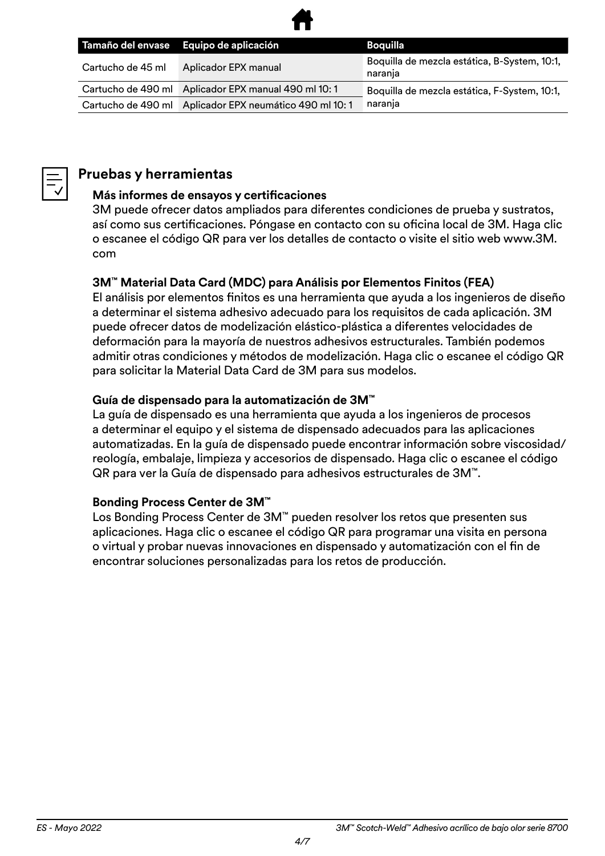

|                   | Tamaño del envase Equipo de aplicación                 | Boquilla                                                |
|-------------------|--------------------------------------------------------|---------------------------------------------------------|
| Cartucho de 45 ml | Aplicador EPX manual                                   | Boquilla de mezcla estática, B-System, 10:1,<br>naranja |
|                   | Cartucho de 490 ml Aplicador EPX manual 490 ml 10:1    | Boquilla de mezcla estática, F-System, 10:1,            |
|                   | Cartucho de 490 ml Aplicador EPX neumático 490 ml 10:1 | naranja                                                 |



#### **Pruebas y herramientas**

#### **Más informes de ensayos y certificaciones**

3M puede ofrecer datos ampliados para diferentes condiciones de prueba y sustratos, así como sus certificaciones. Póngase en contacto con su oficina local de 3M. Haga clic o escanee el código QR para ver los detalles de contacto o visite el sitio web www.3M. com

#### **3M™ Material Data Card (MDC) para Análisis por Elementos Finitos (FEA)**

El análisis por elementos finitos es una herramienta que ayuda a los ingenieros de diseño a determinar el sistema adhesivo adecuado para los requisitos de cada aplicación. 3M puede ofrecer datos de modelización elástico-plástica a diferentes velocidades de deformación para la mayoría de nuestros adhesivos estructurales. También podemos admitir otras condiciones y métodos de modelización. Haga clic o escanee el código QR para solicitar la Material Data Card de 3M para sus modelos.

#### **Guía de dispensado para la automatización de 3M™**

La guía de dispensado es una herramienta que ayuda a los ingenieros de procesos a determinar el equipo y el sistema de dispensado adecuados para las aplicaciones automatizadas. En la guía de dispensado puede encontrar información sobre viscosidad/ reología, embalaje, limpieza y accesorios de dispensado. Haga clic o escanee el código QR para ver la Guía de dispensado para adhesivos estructurales de 3M™.

#### **Bonding Process Center de 3M™**

Los Bonding Process Center de 3M™ pueden resolver los retos que presenten sus aplicaciones. Haga clic o escanee el código QR para programar una visita en persona o virtual y probar nuevas innovaciones en dispensado y automatización con el fin de encontrar soluciones personalizadas para los retos de producción.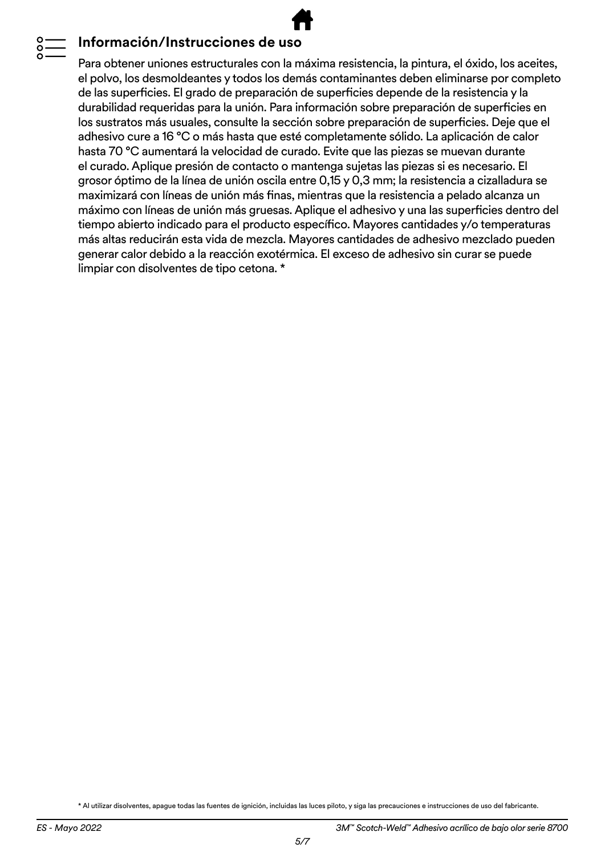#### **Información/Instrucciones de uso**

Para obtener uniones estructurales con la máxima resistencia, la pintura, el óxido, los aceites, el polvo, los desmoldeantes y todos los demás contaminantes deben eliminarse por completo de las superficies. El grado de preparación de superficies depende de la resistencia y la durabilidad requeridas para la unión. Para información sobre preparación de superficies en los sustratos más usuales, consulte la sección sobre preparación de superficies. Deje que el adhesivo cure a 16 °C o más hasta que esté completamente sólido. La aplicación de calor hasta 70 °C aumentará la velocidad de curado. Evite que las piezas se muevan durante el curado. Aplique presión de contacto o mantenga sujetas las piezas si es necesario. El grosor óptimo de la línea de unión oscila entre 0,15 y 0,3 mm; la resistencia a cizalladura se maximizará con líneas de unión más finas, mientras que la resistencia a pelado alcanza un máximo con líneas de unión más gruesas. Aplique el adhesivo y una las superficies dentro del tiempo abierto indicado para el producto específico. Mayores cantidades y/o temperaturas más altas reducirán esta vida de mezcla. Mayores cantidades de adhesivo mezclado pueden generar calor debido a la reacción exotérmica. El exceso de adhesivo sin curar se puede limpiar con disolventes de tipo cetona. \*

\* Al utilizar disolventes, apague todas las fuentes de ignición, incluidas las luces piloto, y siga las precauciones e instrucciones de uso del fabricante.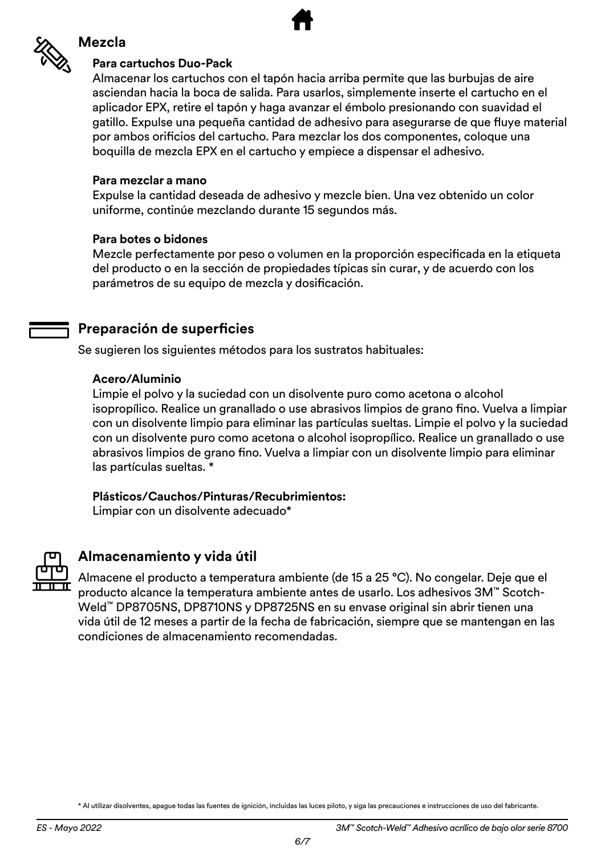

#### **Mezcla**

#### **Para cartuchos Duo-Pack**

Almacenar los cartuchos con el tapón hacia arriba permite que las burbujas de aire asciendan hacia la boca de salida. Para usarlos, simplemente inserte el cartucho en el aplicador EPX, retire el tapón y haga avanzar el émbolo presionando con suavidad el gatillo. Expulse una pequeña cantidad de adhesivo para asegurarse de que fluye material por ambos orificios del cartucho. Para mezclar los dos componentes, coloque una boquilla de mezcla EPX en el cartucho y empiece a dispensar el adhesivo.

#### **Para mezclar a mano**

Expulse la cantidad deseada de adhesivo y mezcle bien. Una vez obtenido un color uniforme, continúe mezclando durante 15 segundos más.

#### **Para botes o bidones**

Mezcle perfectamente por peso o volumen en la proporción especificada en la etiqueta del producto o en la sección de propiedades típicas sin curar, y de acuerdo con los parámetros de su equipo de mezcla y dosificación.

#### **Preparación de superficies**

Se sugieren los siguientes métodos para los sustratos habituales:

#### **Acero/Aluminio**

Limpie el polvo y la suciedad con un disolvente puro como acetona o alcohol isopropílico. Realice un granallado o use abrasivos limpios de grano fino. Vuelva a limpiar con un disolvente limpio para eliminar las partículas sueltas. Limpie el polvo y la suciedad con un disolvente puro como acetona o alcohol isopropílico. Realice un granallado o use abrasivos limpios de grano fino. Vuelva a limpiar con un disolvente limpio para eliminar las partículas sueltas. \*

#### **Plásticos/Cauchos/Pinturas/Recubrimientos:**

Limpiar con un disolvente adecuado\*



#### **Almacenamiento y vida útil**

Almacene el producto a temperatura ambiente (de 15 a 25 °C). No congelar. Deje que el producto alcance la temperatura ambiente antes de usarlo. Los adhesivos 3M™ Scotch-Weld™ DP8705NS, DP8710NS y DP8725NS en su envase original sin abrir tienen una vida útil de 12 meses a partir de la fecha de fabricación, siempre que se mantengan en las condiciones de almacenamiento recomendadas.

\* Al utilizar disolventes, apague todas las fuentes de ignición, incluidas las luces piloto, y siga las precauciones e instrucciones de uso del fabricante.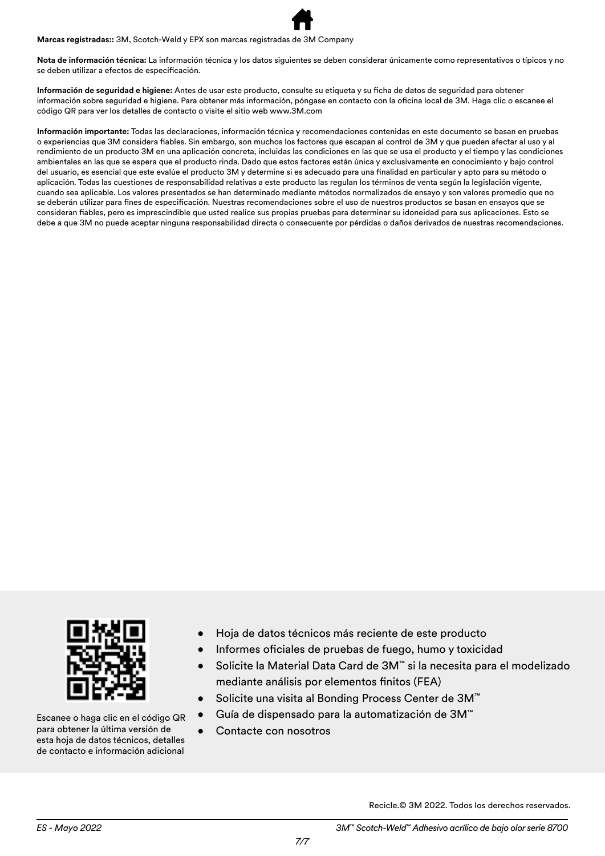**Marcas registradas::** 3M, Scotch-Weld y EPX son marcas registradas de 3M Company

**Nota de información técnica:** La información técnica y los datos siguientes se deben considerar únicamente como representativos o típicos y no se deben utilizar a efectos de especificación.

**Información de seguridad e higiene:** Antes de usar este producto, consulte su etiqueta y su ficha de datos de seguridad para obtener información sobre seguridad e higiene. Para obtener más información, póngase en contacto con la oficina local de 3M. Haga clic o escanee el código QR para ver los detalles de contacto o visite el sitio web www.3M.com

**Información importante:** Todas las declaraciones, información técnica y recomendaciones contenidas en este documento se basan en pruebas o experiencias que 3M considera fiables. Sin embargo, son muchos los factores que escapan al control de 3M y que pueden afectar al uso y al rendimiento de un producto 3M en una aplicación concreta, incluidas las condiciones en las que se usa el producto y el tiempo y las condiciones ambientales en las que se espera que el producto rinda. Dado que estos factores están única y exclusivamente en conocimiento y bajo control del usuario, es esencial que este evalúe el producto 3M y determine si es adecuado para una finalidad en particular y apto para su método o aplicación. Todas las cuestiones de responsabilidad relativas a este producto las regulan los términos de venta según la legislación vigente, cuando sea aplicable. Los valores presentados se han determinado mediante métodos normalizados de ensayo y son valores promedio que no se deberán utilizar para fines de especificación. Nuestras recomendaciones sobre el uso de nuestros productos se basan en ensayos que se consideran fiables, pero es imprescindible que usted realice sus propias pruebas para determinar su idoneidad para sus aplicaciones. Esto se debe a que 3M no puede aceptar ninguna responsabilidad directa o consecuente por pérdidas o daños derivados de nuestras recomendaciones.



Escanee o haga clic en el código QR para obtener la última versión de esta hoja de datos técnicos, detalles de contacto e información adicional

- Hoja de datos técnicos más reciente de este producto
- Informes oficiales de pruebas de fuego, humo y toxicidad
- Solicite la Material Data Card de 3M™ si la necesita para el modelizado mediante análisis por elementos finitos (FEA)
- Solicite una visita al Bonding Process Center de 3M™
- Guía de dispensado para la automatización de 3M™
- Contacte con nosotros

Recicle.© 3M 2022. Todos los derechos reservados.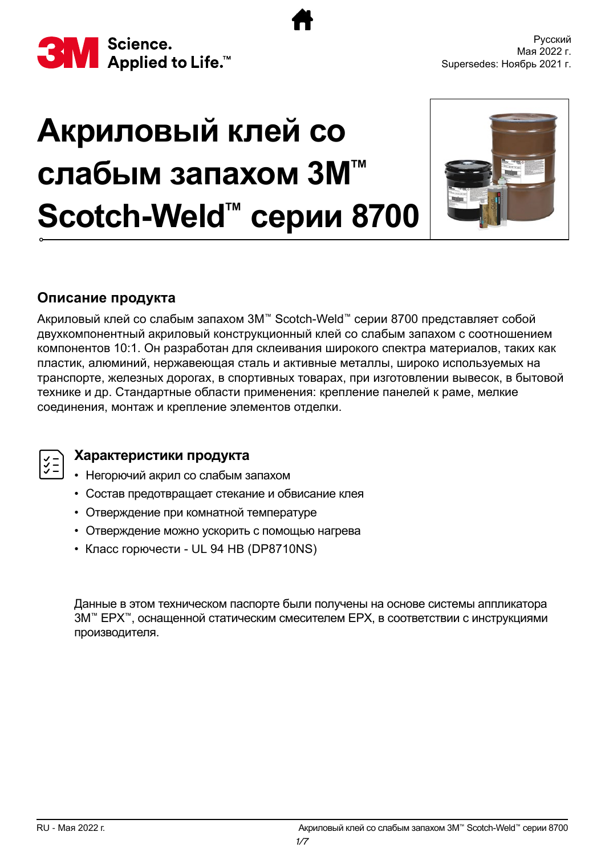<span id="page-36-0"></span>

# **Акриловый клей со слабым запахом 3M™ Scotch-Weld™ серии 8700**



#### **Описание продукта**

Акриловый клей со слабым запахом 3M™ Scotch-Weld™ серии 8700 представляет собой двухкомпонентный акриловый конструкционный клей со слабым запахом с соотношением компонентов 10:1. Он разработан для склеивания широкого спектра материалов, таких как пластик, алюминий, нержавеющая сталь и активные металлы, широко используемых на транспорте, железных дорогах, в спортивных товарах, при изготовлении вывесок, в бытовой технике и др. Стандартные области применения: крепление панелей к раме, мелкие соединения, монтаж и крепление элементов отделки.



#### **Характеристики продукта**

- Негорючий акрил со слабым запахом
- Состав предотвращает стекание и обвисание клея
- Отверждение при комнатной температуре
- Отверждение можно ускорить с помощью нагрева
- Класс горючести UL 94 HB (DP8710NS)

Данные в этом техническом паспорте были получены на основе системы аппликатора 3M™ EPX™, оснащенной статическим смесителем EPX, в соответствии с инструкциями производителя.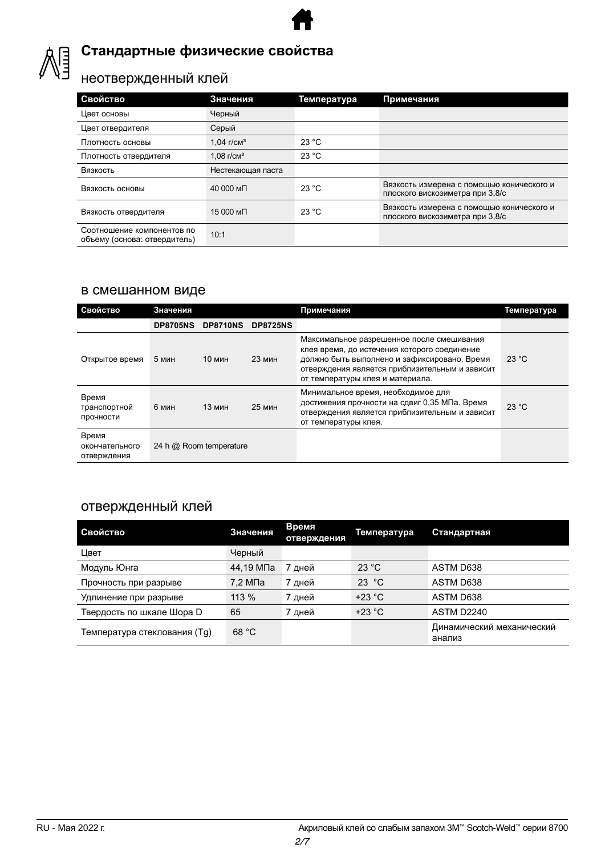

### **Стандартные физические свойства**

### неотвержденный клей

| Свойство                                                   | Значения          | Температура | Примечания                                                                   |
|------------------------------------------------------------|-------------------|-------------|------------------------------------------------------------------------------|
| Цвет основы                                                | Черный            |             |                                                                              |
| Цвет отвердителя                                           | Серый             |             |                                                                              |
| Плотность основы                                           | $1.04$ $r/cm3$    | 23 °C       |                                                                              |
| Плотность отвердителя                                      | $1.08$ $r/cm3$    | 23 °C       |                                                                              |
| Вязкость                                                   | Нестекающая паста |             |                                                                              |
| Вязкость основы                                            | 40 000 мП         | 23 °C       | Вязкость измерена с помощью конического и<br>плоского вискозиметра при 3,8/с |
| Вязкость отвердителя                                       | 15 000 мП         | 23 °C       | Вязкость измерена с помощью конического и<br>плоского вискозиметра при 3,8/с |
| Соотношение компонентов по<br>объему (основа: отвердитель) | 10:1              |             |                                                                              |

#### в смешанном виде

| Свойство                               | Значения        |                         |                 | Примечания                                                                                                                                                                                                                      | Температура |
|----------------------------------------|-----------------|-------------------------|-----------------|---------------------------------------------------------------------------------------------------------------------------------------------------------------------------------------------------------------------------------|-------------|
|                                        | <b>DP8705NS</b> | <b>DP8710NS</b>         | <b>DP8725NS</b> |                                                                                                                                                                                                                                 |             |
| Открытое время                         | 5 мин           | $10 \text{ min}$        | 23 мин          | Максимальное разрешенное после смешивания<br>клея время, до истечения которого соединение<br>должно быть выполнено и зафиксировано. Время<br>отверждения является приблизительным и зависит<br>от температуры клея и материала. | 23 °C       |
| Время<br>транспортной<br>прочности     | 6 мин           | <b>25 мин</b><br>13 мин |                 | Минимальное время, необходимое для<br>достижения прочности на сдвиг 0,35 МПа. Время<br>отверждения является приблизительным и зависит<br>от температуры клея.                                                                   | 23 °C       |
| Время<br>окончательного<br>отверждения |                 | 24 h @ Room temperature |                 |                                                                                                                                                                                                                                 |             |

#### отвержденный клей

| Свойство                     | Значения               | Время<br>отверждения | Температура | Стандартная                         |
|------------------------------|------------------------|----------------------|-------------|-------------------------------------|
| Цвет                         | Черный                 |                      |             |                                     |
| Модуль Юнга                  | 44,19 M <sub>D</sub> a | дней                 | 23 °C       | ASTM D638                           |
| Прочность при разрыве        | 7,2 МПа                | 7 дней               | 23 °C       | ASTM D638                           |
| Удлинение при разрыве        | 113 %                  | 7 дней               | $+23 °C$    | ASTM D638                           |
| Твердость по шкале Шора D    | 65                     | 7 дней               | $+23 °C$    | ASTM D2240                          |
| Температура стеклования (Tg) | 68 °C                  |                      |             | Динамический механический<br>анализ |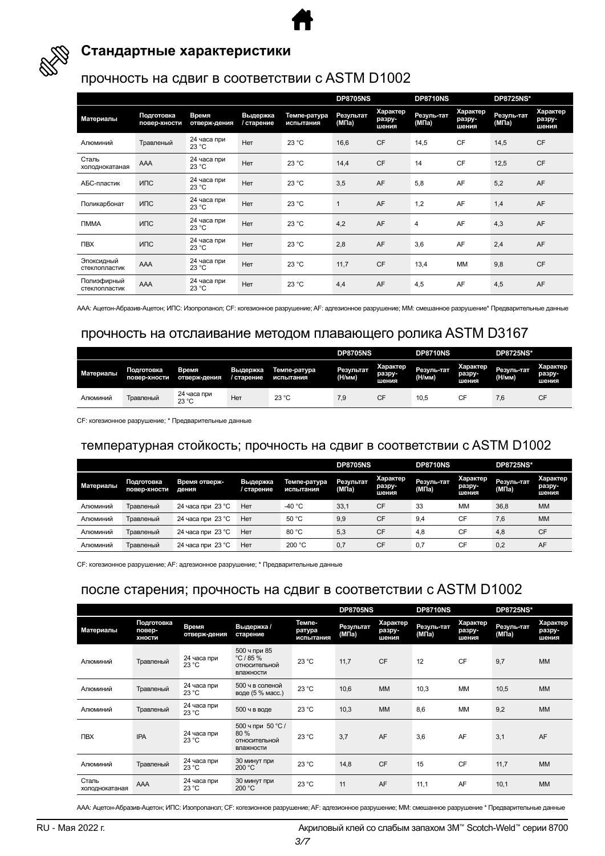

### **Стандартные характеристики**

#### прочность на сдвиг в соответствии с ASTM D1002

|                              |                            |                       |                        |                           | <b>DP8705NS</b>    |                             | <b>DP8710NS</b>     |                             | <b>DP8725NS*</b>    |                             |
|------------------------------|----------------------------|-----------------------|------------------------|---------------------------|--------------------|-----------------------------|---------------------|-----------------------------|---------------------|-----------------------------|
| Материалы                    | Подготовка<br>повер-хности | Время<br>отверж-дения | Выдержка<br>/ старение | Темпе-ратура<br>испытания | Результат<br>(МПа) | Характер<br>разру-<br>шения | Резуль-тат<br>(МПа) | Характер<br>разру-<br>шения | Резуль-тат<br>(МПа) | Характер<br>разру-<br>шения |
| Алюминий                     | Травленый                  | 24 часа при<br>23 °C  | Нет                    | 23 °C                     | 16,6               | <b>CF</b>                   | 14,5                | <b>CF</b>                   | 14,5                | <b>CF</b>                   |
| Сталь<br>холоднокатаная      | AAA                        | 24 часа при<br>23 °C  | Нет                    | 23 °C                     | 14,4               | CF                          | 14                  | CF                          | 12,5                | <b>CF</b>                   |
| АБС-пластик                  | ИПС                        | 24 часа при<br>23 °C  | Нет                    | 23 °C                     | 3,5                | AF                          | 5,8                 | AF                          | 5,2                 | AF                          |
| Поликарбонат                 | ИПС                        | 24 часа при<br>23 °C  | Нет                    | 23 °C                     | $\mathbf{1}$       | AF                          | 1,2                 | AF                          | 1,4                 | AF                          |
| <b>TMMA</b>                  | ИПС                        | 24 часа при<br>23 °C  | <b>Her</b>             | 23 °C                     | 4,2                | AF                          | 4                   | AF                          | 4,3                 | AF                          |
| <b>NBX</b>                   | ИПС                        | 24 часа при<br>23 °C  | Нет                    | 23 °C                     | 2,8                | AF                          | 3,6                 | AF                          | 2,4                 | AF                          |
| Эпоксидный<br>стеклопластик  | AAA                        | 24 часа при<br>23 °C  | Нет                    | 23 °C                     | 11,7               | <b>CF</b>                   | 13,4                | <b>MM</b>                   | 9,8                 | <b>CF</b>                   |
| Полиэфирный<br>стеклопластик | AAA                        | 24 часа при<br>23 °C  | Нет                    | 23 °C                     | 4,4                | AF                          | 4,5                 | AF                          | 4,5                 | AF                          |

AAA: Ацетон-Абразив-Ацетон; ИПС: Изопропанол; CF: когезионное разрушение; AF: адгезионное разрушение; MM: смешанное разрушение\* Предварительные данные

#### прочность на отслаивание методом плавающего ролика ASTM D3167

|           |                            |                       |                        |                           | <b>DP8705NS</b>     |                             | <b>DP8710NS</b>      |                             | <b>DP8725NS*</b>     |                             |
|-----------|----------------------------|-----------------------|------------------------|---------------------------|---------------------|-----------------------------|----------------------|-----------------------------|----------------------|-----------------------------|
| Материалы | Подготовка<br>повер-хности | Время<br>отверж-дения | Выдержка<br>/ старение | Темпе-ратура<br>испытания | Результат<br>(Н/мм) | Характер<br>разру-<br>шения | Резуль-тат<br>(H/MM) | Характер<br>разру-<br>шения | Резуль-тат<br>(H/MM) | Характер<br>разру-<br>шения |
| Алюминий  | Травленый                  | 24 часа при<br>23 °C  | Нет                    | 23 °C                     | 7,9                 | <b>CF</b>                   | 10,5                 | СF                          | 7,6                  | CF                          |

CF: когезионное разрушение; \* Предварительные данные

#### температурная стойкость; прочность на сдвиг в соответствии с ASTM D1002

|           |                            |                             |                        |                           | <b>DP8705NS</b>    |                             | <b>DP8710NS</b>                  |                             | <b>DP8725NS*</b>                 |                             |
|-----------|----------------------------|-----------------------------|------------------------|---------------------------|--------------------|-----------------------------|----------------------------------|-----------------------------|----------------------------------|-----------------------------|
| Материалы | Подготовка<br>повер-хности | Время отверж-<br>дения      | Выдержка<br>/ старение | Темпе-ратура<br>испытания | Результат<br>(МПа) | Характер<br>разру-<br>шения | Резуль-тат<br>(M <sub>Ta</sub> ) | Характер<br>разру-<br>шения | Резуль-тат<br>(M <sub>Ta</sub> ) | Характер<br>разру-<br>шения |
| Алюминий  | Травленый                  | 24 часа при 23 $^{\circ}$ С | Нет                    | -40 $^{\circ}$ C          | 33,1               | CF                          | 33                               | MM                          | 36.8                             | <b>MM</b>                   |
| Алюминий  | Травленый                  | 24 часа при 23 $^{\circ}$ С | Нет                    | 50 °C                     | 9.9                | <b>CF</b>                   | 9.4                              | <b>CF</b>                   | 7.6                              | <b>MM</b>                   |
| Алюминий  | Травленый                  | 24 часа при 23 °С           | Her                    | 80 °C                     | 5.3                | <b>CF</b>                   | 4.8                              | <b>CF</b>                   | 4.8                              | <b>CF</b>                   |
| Алюминий  | Травленый                  | 24 часа при 23 $^{\circ}$ С | Нет                    | 200 °C                    | 0,7                | <b>CF</b>                   | 0.7                              | CF                          | 0,2                              | AF                          |

CF: когезионное разрушение; AF: адгезионное разрушение; \* Предварительные данные

#### после старения; прочность на сдвиг в соответствии с ASTM D1002

|                         |                                |                       |                                                         |                               | <b>DP8705NS</b>    |                                    | <b>DP8710NS</b>     |                             | <b>DP8725NS*</b>    |                             |
|-------------------------|--------------------------------|-----------------------|---------------------------------------------------------|-------------------------------|--------------------|------------------------------------|---------------------|-----------------------------|---------------------|-----------------------------|
| Материалы               | Подготовка<br>повер-<br>ХНОСТИ | Время<br>отверж-дения | Выдержка /<br>старение                                  | Темпе-<br>ратура<br>испытания | Результат<br>(МПа) | <b>Характер</b><br>разру-<br>шения | Резуль-тат<br>(МПа) | Характер<br>разру-<br>шения | Резуль-тат<br>(МПа) | Характер<br>разру-<br>шения |
| Алюминий                | Травленый                      | 24 часа при<br>23 °C  | 500 ч при 85<br>°C/85%<br>ОТНОСИТЕЛЬНОЙ<br>влажности    | 23 °C                         | 11,7               | <b>CF</b>                          | 12                  | <b>CF</b>                   | 9,7                 | <b>MM</b>                   |
| Алюминий                | Травленый                      | 24 часа при<br>23 °C  | 500 ч в соленой<br>воде (5 % масс.)                     | 23 °C                         | 10,6               | <b>MM</b>                          | 10,3                | <b>MM</b>                   | 10,5                | <b>MM</b>                   |
| Алюминий                | Травленый                      | 24 часа при<br>23 °C  | 500 ч в воде                                            | 23 °C                         | 10.3               | <b>MM</b>                          | 8,6                 | <b>MM</b>                   | 9,2                 | <b>MM</b>                   |
| <b>TIBX</b>             | <b>IPA</b>                     | 24 часа при<br>23 °C  | 500 ч при 50 °С /<br>80 %<br>ОТНОСИТЕЛЬНОЙ<br>влажности | 23 °C                         | 3,7                | AF                                 | 3,6                 | AF                          | 3,1                 | AF                          |
| Алюминий                | Травленый                      | 24 часа при<br>23 °C  | 30 минут при<br>200 °C                                  | 23 °C                         | 14,8               | <b>CF</b>                          | 15                  | <b>CF</b>                   | 11,7                | <b>MM</b>                   |
| Сталь<br>холоднокатаная | AAA                            | 24 часа при<br>23 °C  | 30 минут при<br>200 °C                                  | 23 °C                         | 11                 | AF                                 | 11,1                | AF                          | 10,1                | <b>MM</b>                   |

AAA: Ацетон-Абразив-Ацетон; ИПС: Изопропанол; CF: когезионное разрушение; AF: адгезионное разрушение; MM: смешанное разрушение \* Предварительные данные

Акриловый клей со слабым запахом 3M™ Scotch-Weld™ RU - Mая 2022 г. серии 8700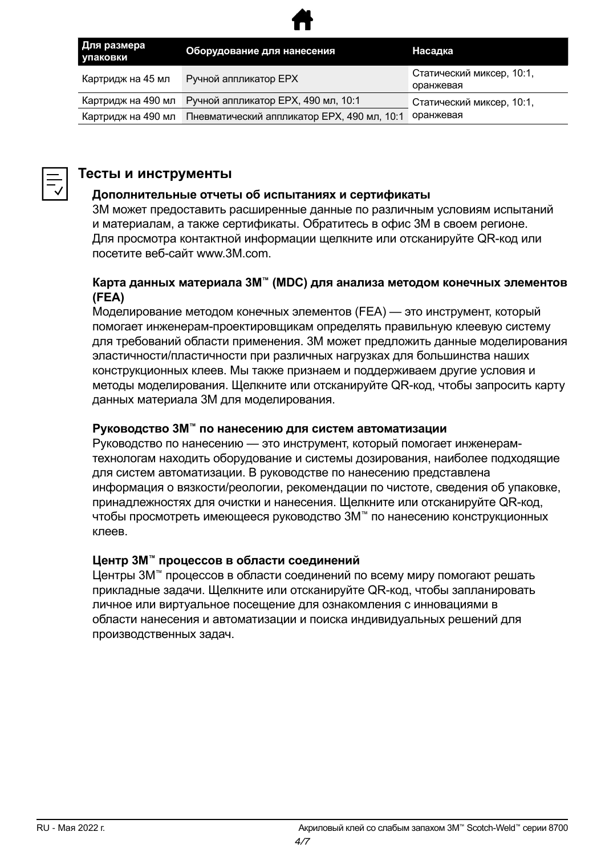

| Для размера<br>упаковки | Оборудование для нанесения                  | Насадка                                |  |  |
|-------------------------|---------------------------------------------|----------------------------------------|--|--|
| Картридж на 45 мл       | Ручной аппликатор ЕРХ                       | Статический миксер, 10:1,<br>оранжевая |  |  |
| Картридж на 490 мл      | Ручной аппликатор ЕРХ, 490 мл, 10:1         | Статический миксер, 10:1,<br>оранжевая |  |  |
| Картридж на 490 мл      | Пневматический аппликатор ЕРХ, 490 мл, 10:1 |                                        |  |  |



#### **Тесты и инструменты**

#### **Дополнительные отчеты об испытаниях и сертификаты**

3M может предоставить расширенные данные по различным условиям испытаний и материалам, а также сертификаты. Обратитесь в офис 3M в своем регионе. Для просмотра контактной информации щелкните или отсканируйте QR-код или посетите веб-сайт www.3M.com.

#### **Карта данных материала 3M™ (MDC) для анализа методом конечных элементов (FEA)**

Моделирование методом конечных элементов (FEA) — это инструмент, который помогает инженерам-проектировщикам определять правильную клеевую систему для требований области применения. 3M может предложить данные моделирования эластичности/пластичности при различных нагрузках для большинства наших конструкционных клеев. Мы также признаем и поддерживаем другие условия и методы моделирования. Щелкните или отсканируйте QR-код, чтобы запросить карту данных материала 3M для моделирования.

#### **Руководство 3M™ по нанесению для систем автоматизации**

Руководство по нанесению — это инструмент, который помогает инженерамтехнологам находить оборудование и системы дозирования, наиболее подходящие для систем автоматизации. В руководстве по нанесению представлена информация о вязкости/реологии, рекомендации по чистоте, сведения об упаковке, принадлежностях для очистки и нанесения. Щелкните или отсканируйте QR-код, чтобы просмотреть имеющееся руководство 3M™ по нанесению конструкционных клеев.

#### **Центр 3M™ процессов в области соединений**

Центры 3M™ процессов в области соединений по всему миру помогают решать прикладные задачи. Щелкните или отсканируйте QR-код, чтобы запланировать личное или виртуальное посещение для ознакомления с инновациями в области нанесения и автоматизации и поиска индивидуальных решений для производственных задач.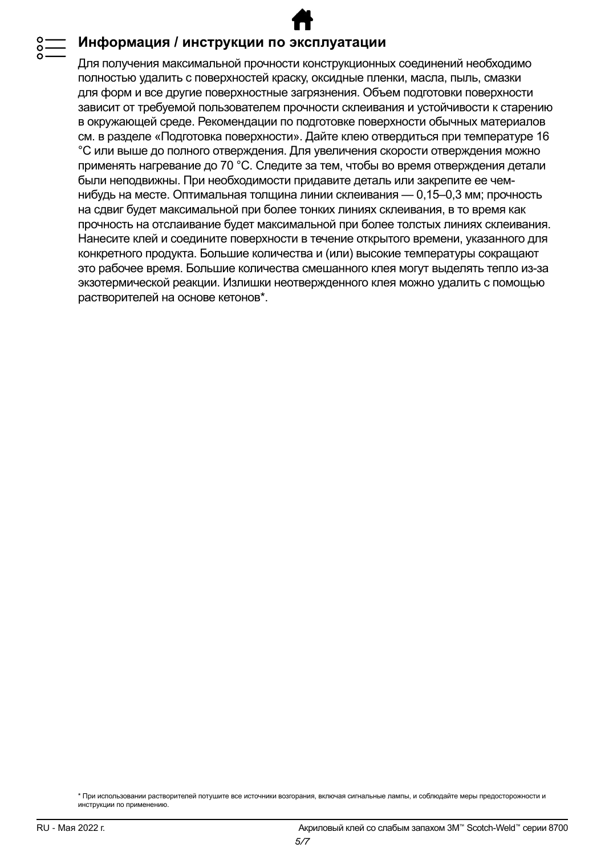#### **Информация / инструкции по эксплуатации**

Для получения максимальной прочности конструкционных соединений необходимо полностью удалить с поверхностей краску, оксидные пленки, масла, пыль, смазки для форм и все другие поверхностные загрязнения. Объем подготовки поверхности зависит от требуемой пользователем прочности склеивания и устойчивости к старению в окружающей среде. Рекомендации по подготовке поверхности обычных материалов см. в разделе «Подготовка поверхности». Дайте клею отвердиться при температуре 16 °C или выше до полного отверждения. Для увеличения скорости отверждения можно применять нагревание до 70 °C. Следите за тем, чтобы во время отверждения детали были неподвижны. При необходимости придавите деталь или закрепите ее чемнибудь на месте. Оптимальная толщина линии склеивания — 0,15–0,3 мм; прочность на сдвиг будет максимальной при более тонких линиях склеивания, в то время как прочность на отслаивание будет максимальной при более толстых линиях склеивания. Нанесите клей и соедините поверхности в течение открытого времени, указанного для конкретного продукта. Большие количества и (или) высокие температуры сокращают это рабочее время. Большие количества смешанного клея могут выделять тепло из-за экзотермической реакции. Излишки неотвержденного клея можно удалить с помощью растворителей на основе кетонов\*.

<sup>\*</sup> При использовании растворителей потушите все источники возгорания, включая сигнальные лампы, и соблюдайте меры предосторожности и инструкции по применению.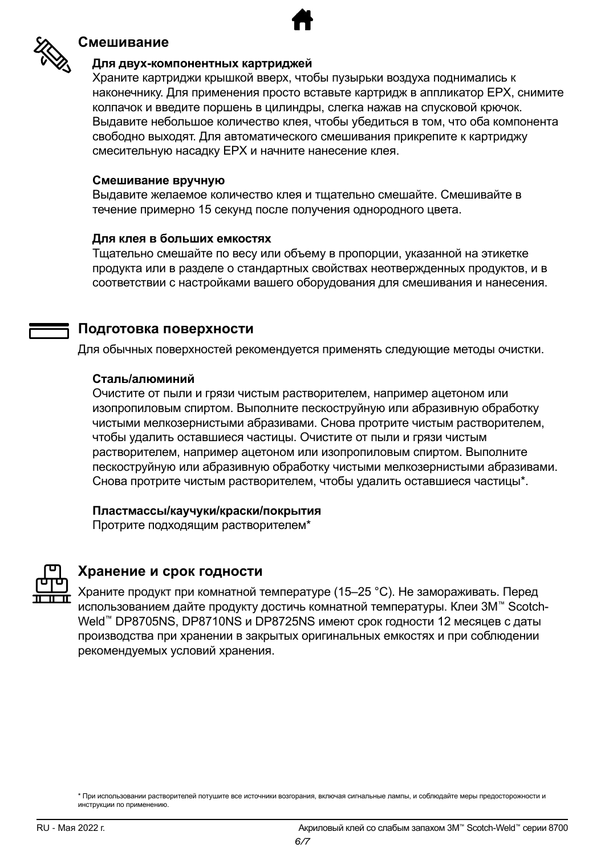

#### **Смешивание**

#### **Для двух-компонентных картриджей**

Храните картриджи крышкой вверх, чтобы пузырьки воздуха поднимались к наконечнику. Для применения просто вставьте картридж в аппликатор EPX, снимите колпачок и введите поршень в цилиндры, слегка нажав на спусковой крючок. Выдавите небольшое количество клея, чтобы убедиться в том, что оба компонента свободно выходят. Для автоматического смешивания прикрепите к картриджу смесительную насадку EPX и начните нанесение клея.

#### **Смешивание вручную**

Выдавите желаемое количество клея и тщательно смешайте. Смешивайте в течение примерно 15 секунд после получения однородного цвета.

#### **Для клея в больших емкостях**

Тщательно смешайте по весу или объему в пропорции, указанной на этикетке продукта или в разделе о стандартных свойствах неотвержденных продуктов, и в соответствии с настройками вашего оборудования для смешивания и нанесения.

#### **Подготовка поверхности**

Для обычных поверхностей рекомендуется применять следующие методы очистки.

#### **Сталь/алюминий**

Очистите от пыли и грязи чистым растворителем, например ацетоном или изопропиловым спиртом. Выполните пескоструйную или абразивную обработку чистыми мелкозернистыми абразивами. Снова протрите чистым растворителем, чтобы удалить оставшиеся частицы. Очистите от пыли и грязи чистым растворителем, например ацетоном или изопропиловым спиртом. Выполните пескоструйную или абразивную обработку чистыми мелкозернистыми абразивами. Снова протрите чистым растворителем, чтобы удалить оставшиеся частицы\*.

#### **Пластмассы/каучуки/краски/покрытия**

Протрите подходящим растворителем\*



#### **Хранение и срок годности**

Храните продукт при комнатной температуре (15–25 °C). Не замораживать. Перед использованием дайте продукту достичь комнатной температуры. Клеи 3M™ Scotch-Weld™ DP8705NS, DP8710NS и DP8725NS имеют срок годности 12 месяцев с даты производства при хранении в закрытых оригинальных емкостях и при соблюдении рекомендуемых условий хранения.

<sup>\*</sup> При использовании растворителей потушите все источники возгорания, включая сигнальные лампы, и соблюдайте меры предосторожности и инструкции по применению.